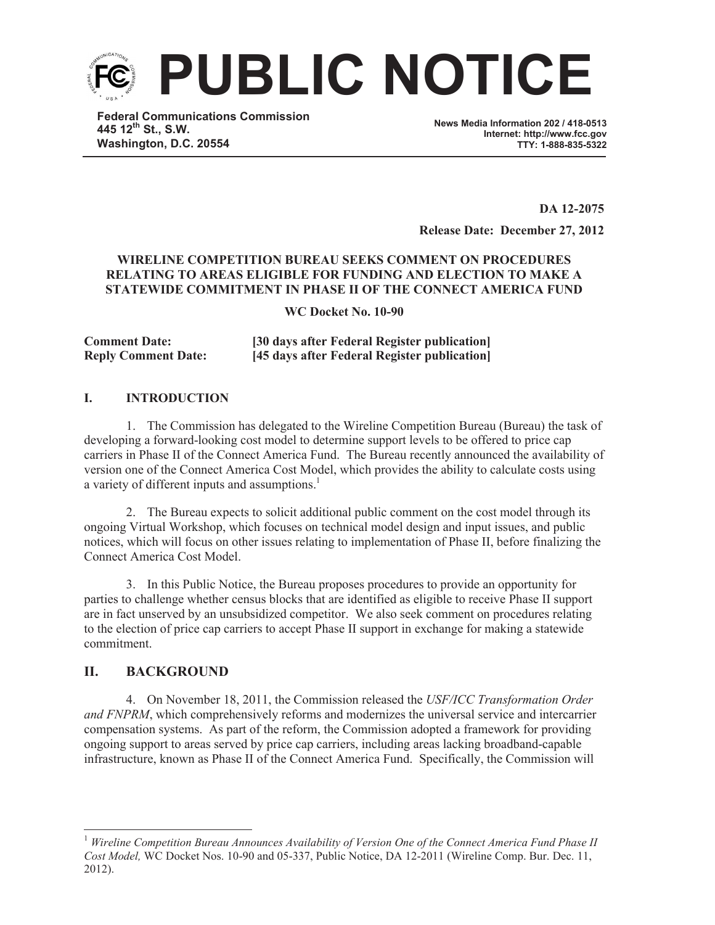

**Federal Communications Commission 445 12th St., S.W. Washington, D.C. 20554**

**News Media Information 202 / 418-0513 Internet: http://www.fcc.gov TTY: 1-888-835-5322**

**DA 12-2075 Release Date: December 27, 2012**

# **WIRELINE COMPETITION BUREAU SEEKS COMMENT ON PROCEDURES RELATING TO AREAS ELIGIBLE FOR FUNDING AND ELECTION TO MAKE A STATEWIDE COMMITMENT IN PHASE II OF THE CONNECT AMERICA FUND**

**WC Docket No. 10-90**

**Comment Date: [30 days after Federal Register publication] Reply Comment Date: [45 days after Federal Register publication]**

# **I. INTRODUCTION**

1. The Commission has delegated to the Wireline Competition Bureau (Bureau) the task of developing a forward-looking cost model to determine support levels to be offered to price cap carriers in Phase II of the Connect America Fund. The Bureau recently announced the availability of version one of the Connect America Cost Model, which provides the ability to calculate costs using a variety of different inputs and assumptions.<sup>1</sup>

2. The Bureau expects to solicit additional public comment on the cost model through its ongoing Virtual Workshop, which focuses on technical model design and input issues, and public notices, which will focus on other issues relating to implementation of Phase II, before finalizing the Connect America Cost Model.

3. In this Public Notice, the Bureau proposes procedures to provide an opportunity for parties to challenge whether census blocks that are identified as eligible to receive Phase II support are in fact unserved by an unsubsidized competitor. We also seek comment on procedures relating to the election of price cap carriers to accept Phase II support in exchange for making a statewide commitment.

# **II. BACKGROUND**

4. On November 18, 2011, the Commission released the *USF/ICC Transformation Order and FNPRM*, which comprehensively reforms and modernizes the universal service and intercarrier compensation systems. As part of the reform, the Commission adopted a framework for providing ongoing support to areas served by price cap carriers, including areas lacking broadband-capable infrastructure, known as Phase II of the Connect America Fund. Specifically, the Commission will

<sup>1</sup> *Wireline Competition Bureau Announces Availability of Version One of the Connect America Fund Phase II Cost Model,* WC Docket Nos. 10-90 and 05-337, Public Notice, DA 12-2011 (Wireline Comp. Bur. Dec. 11, 2012).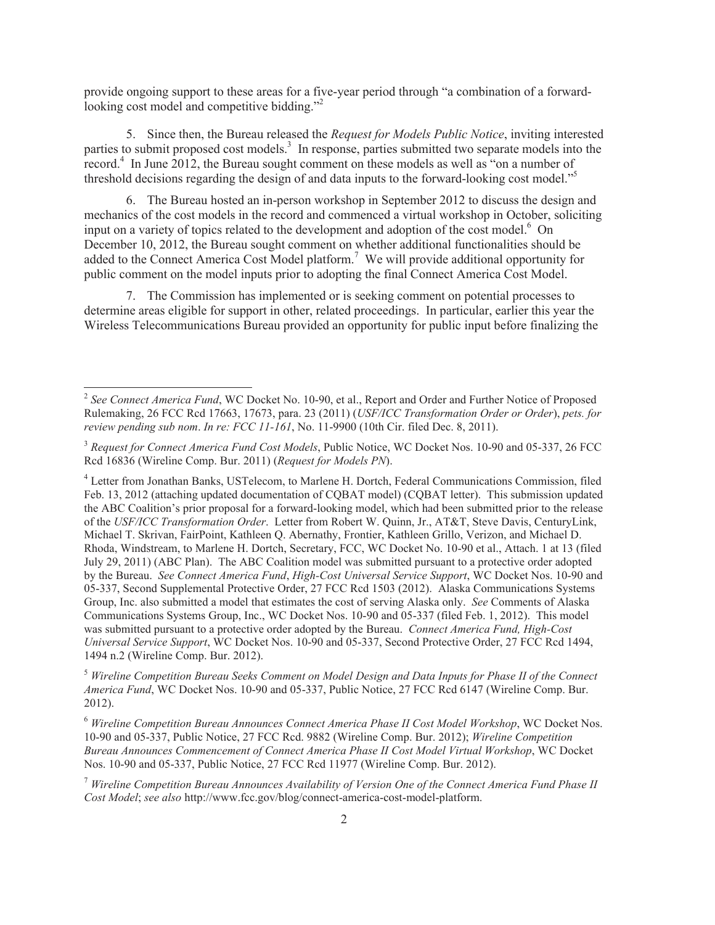provide ongoing support to these areas for a five-year period through "a combination of a forwardlooking cost model and competitive bidding."<sup>2</sup>

5. Since then, the Bureau released the *Request for Models Public Notice*, inviting interested parties to submit proposed cost models.<sup>3</sup> In response, parties submitted two separate models into the record.<sup>4</sup> In June 2012, the Bureau sought comment on these models as well as "on a number of threshold decisions regarding the design of and data inputs to the forward-looking cost model."<sup>5</sup>

6. The Bureau hosted an in-person workshop in September 2012 to discuss the design and mechanics of the cost models in the record and commenced a virtual workshop in October, soliciting input on a variety of topics related to the development and adoption of the cost model.<sup>6</sup> On December 10, 2012, the Bureau sought comment on whether additional functionalities should be added to the Connect America Cost Model platform.<sup>7</sup> We will provide additional opportunity for public comment on the model inputs prior to adopting the final Connect America Cost Model.

7. The Commission has implemented or is seeking comment on potential processes to determine areas eligible for support in other, related proceedings. In particular, earlier this year the Wireless Telecommunications Bureau provided an opportunity for public input before finalizing the

<sup>5</sup> *Wireline Competition Bureau Seeks Comment on Model Design and Data Inputs for Phase II of the Connect America Fund*, WC Docket Nos. 10-90 and 05-337, Public Notice, 27 FCC Rcd 6147 (Wireline Comp. Bur. 2012).

<sup>6</sup> *Wireline Competition Bureau Announces Connect America Phase II Cost Model Workshop*, WC Docket Nos. 10-90 and 05-337, Public Notice, 27 FCC Rcd. 9882 (Wireline Comp. Bur. 2012); *Wireline Competition Bureau Announces Commencement of Connect America Phase II Cost Model Virtual Workshop*, WC Docket Nos. 10-90 and 05-337, Public Notice, 27 FCC Rcd 11977 (Wireline Comp. Bur. 2012).

<sup>7</sup> *Wireline Competition Bureau Announces Availability of Version One of the Connect America Fund Phase II Cost Model*; *see also* http://www.fcc.gov/blog/connect-america-cost-model-platform.

<sup>&</sup>lt;sup>2</sup> See Connect America Fund, WC Docket No. 10-90, et al., Report and Order and Further Notice of Proposed Rulemaking, 26 FCC Rcd 17663, 17673, para. 23 (2011) (*USF/ICC Transformation Order or Order*), *pets. for review pending sub nom*. *In re: FCC 11-161*, No. 11-9900 (10th Cir. filed Dec. 8, 2011).

<sup>3</sup> *Request for Connect America Fund Cost Models*, Public Notice, WC Docket Nos. 10-90 and 05-337, 26 FCC Rcd 16836 (Wireline Comp. Bur. 2011) (*Request for Models PN*).

<sup>4</sup> Letter from Jonathan Banks, USTelecom, to Marlene H. Dortch, Federal Communications Commission, filed Feb. 13, 2012 (attaching updated documentation of CQBAT model) (CQBAT letter). This submission updated the ABC Coalition's prior proposal for a forward-looking model, which had been submitted prior to the release of the *USF/ICC Transformation Order*. Letter from Robert W. Quinn, Jr., AT&T, Steve Davis, CenturyLink, Michael T. Skrivan, FairPoint, Kathleen Q. Abernathy, Frontier, Kathleen Grillo, Verizon, and Michael D. Rhoda, Windstream, to Marlene H. Dortch, Secretary, FCC, WC Docket No. 10-90 et al., Attach. 1 at 13 (filed July 29, 2011) (ABC Plan). The ABC Coalition model was submitted pursuant to a protective order adopted by the Bureau. *See Connect America Fund*, *High-Cost Universal Service Support*, WC Docket Nos. 10-90 and 05-337, Second Supplemental Protective Order, 27 FCC Rcd 1503 (2012). Alaska Communications Systems Group, Inc. also submitted a model that estimates the cost of serving Alaska only. *See* Comments of Alaska Communications Systems Group, Inc., WC Docket Nos. 10-90 and 05-337 (filed Feb. 1, 2012). This model was submitted pursuant to a protective order adopted by the Bureau. *Connect America Fund, High-Cost Universal Service Support*, WC Docket Nos. 10-90 and 05-337, Second Protective Order, 27 FCC Rcd 1494, 1494 n.2 (Wireline Comp. Bur. 2012).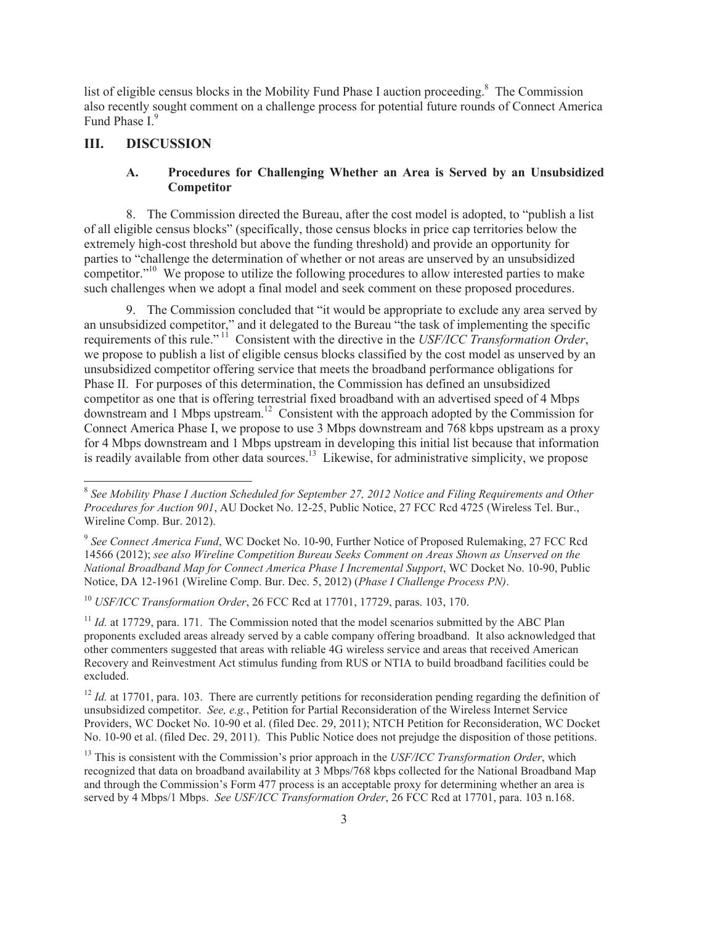list of eligible census blocks in the Mobility Fund Phase I auction proceeding.<sup>8</sup> The Commission also recently sought comment on a challenge process for potential future rounds of Connect America Fund Phase I<sup>9</sup>

# **III. DISCUSSION**

## **A. Procedures for Challenging Whether an Area is Served by an Unsubsidized Competitor**

8. The Commission directed the Bureau, after the cost model is adopted, to "publish a list of all eligible census blocks" (specifically, those census blocks in price cap territories below the extremely high-cost threshold but above the funding threshold) and provide an opportunity for parties to "challenge the determination of whether or not areas are unserved by an unsubsidized competitor."<sup>10</sup> We propose to utilize the following procedures to allow interested parties to make such challenges when we adopt a final model and seek comment on these proposed procedures.

9. The Commission concluded that "it would be appropriate to exclude any area served by an unsubsidized competitor," and it delegated to the Bureau "the task of implementing the specific requirements of this rule." <sup>11</sup> Consistent with the directive in the *USF/ICC Transformation Order*, we propose to publish a list of eligible census blocks classified by the cost model as unserved by an unsubsidized competitor offering service that meets the broadband performance obligations for Phase II. For purposes of this determination, the Commission has defined an unsubsidized competitor as one that is offering terrestrial fixed broadband with an advertised speed of 4 Mbps downstream and 1 Mbps upstream.<sup>12</sup> Consistent with the approach adopted by the Commission for Connect America Phase I, we propose to use 3 Mbps downstream and 768 kbps upstream as a proxy for 4 Mbps downstream and 1 Mbps upstream in developing this initial list because that information is readily available from other data sources.<sup>13</sup> Likewise, for administrative simplicity, we propose

<sup>10</sup> *USF/ICC Transformation Order*, 26 FCC Rcd at 17701, 17729, paras. 103, 170.

<sup>11</sup> *Id.* at 17729, para. 171. The Commission noted that the model scenarios submitted by the ABC Plan proponents excluded areas already served by a cable company offering broadband. It also acknowledged that other commenters suggested that areas with reliable 4G wireless service and areas that received American Recovery and Reinvestment Act stimulus funding from RUS or NTIA to build broadband facilities could be excluded.

 $12$  *Id.* at 17701, para. 103. There are currently petitions for reconsideration pending regarding the definition of unsubsidized competitor. *See, e.g.*, Petition for Partial Reconsideration of the Wireless Internet Service Providers, WC Docket No. 10-90 et al. (filed Dec. 29, 2011); NTCH Petition for Reconsideration, WC Docket No. 10-90 et al. (filed Dec. 29, 2011). This Public Notice does not prejudge the disposition of those petitions.

<sup>&</sup>lt;sup>8</sup> See Mobility Phase I Auction Scheduled for September 27, 2012 Notice and Filing Requirements and Other *Procedures for Auction 901*, AU Docket No. 12-25, Public Notice, 27 FCC Rcd 4725 (Wireless Tel. Bur., Wireline Comp. Bur. 2012).

<sup>&</sup>lt;sup>9</sup> See Connect America Fund, WC Docket No. 10-90, Further Notice of Proposed Rulemaking, 27 FCC Rcd 14566 (2012); *see also Wireline Competition Bureau Seeks Comment on Areas Shown as Unserved on the National Broadband Map for Connect America Phase I Incremental Support*, WC Docket No. 10-90, Public Notice, DA 12-1961 (Wireline Comp. Bur. Dec. 5, 2012) (*Phase I Challenge Process PN)*.

<sup>&</sup>lt;sup>13</sup> This is consistent with the Commission's prior approach in the *USF/ICC Transformation Order*, which recognized that data on broadband availability at 3 Mbps/768 kbps collected for the National Broadband Map and through the Commission's Form 477 process is an acceptable proxy for determining whether an area is served by 4 Mbps/1 Mbps. *See USF/ICC Transformation Order*, 26 FCC Rcd at 17701, para. 103 n.168.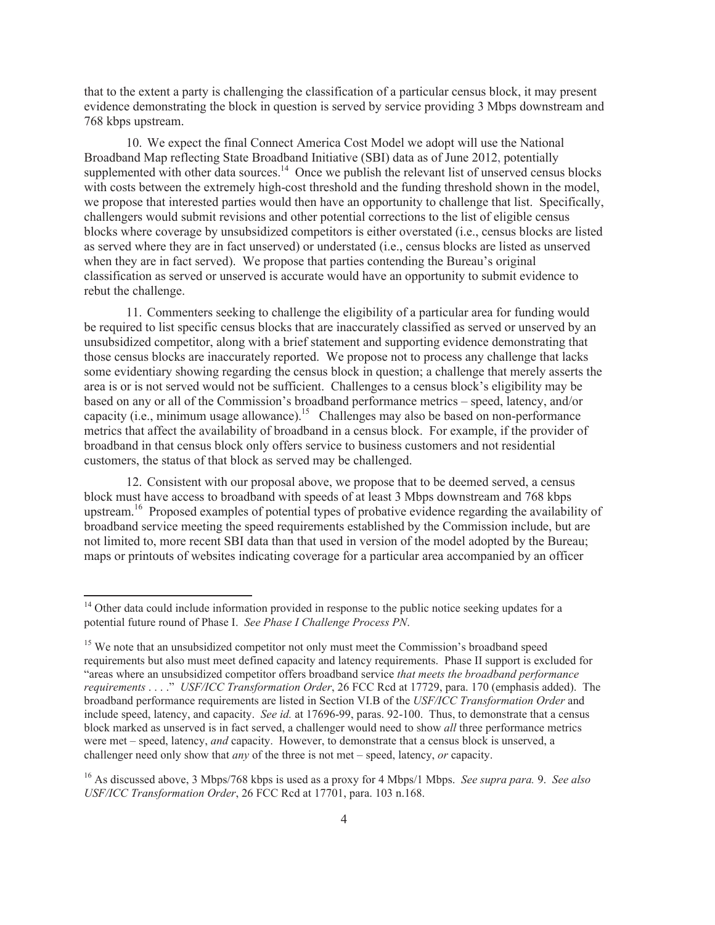that to the extent a party is challenging the classification of a particular census block, it may present evidence demonstrating the block in question is served by service providing 3 Mbps downstream and 768 kbps upstream.

10. We expect the final Connect America Cost Model we adopt will use the National Broadband Map reflecting State Broadband Initiative (SBI) data as of June 2012, potentially supplemented with other data sources.<sup>14</sup> Once we publish the relevant list of unserved census blocks with costs between the extremely high-cost threshold and the funding threshold shown in the model, we propose that interested parties would then have an opportunity to challenge that list. Specifically, challengers would submit revisions and other potential corrections to the list of eligible census blocks where coverage by unsubsidized competitors is either overstated (i.e., census blocks are listed as served where they are in fact unserved) or understated (i.e., census blocks are listed as unserved when they are in fact served). We propose that parties contending the Bureau's original classification as served or unserved is accurate would have an opportunity to submit evidence to rebut the challenge.

11. Commenters seeking to challenge the eligibility of a particular area for funding would be required to list specific census blocks that are inaccurately classified as served or unserved by an unsubsidized competitor, along with a brief statement and supporting evidence demonstrating that those census blocks are inaccurately reported. We propose not to process any challenge that lacks some evidentiary showing regarding the census block in question; a challenge that merely asserts the area is or is not served would not be sufficient. Challenges to a census block's eligibility may be based on any or all of the Commission's broadband performance metrics – speed, latency, and/or capacity (i.e., minimum usage allowance).<sup>15</sup> Challenges may also be based on non-performance metrics that affect the availability of broadband in a census block. For example, if the provider of broadband in that census block only offers service to business customers and not residential customers, the status of that block as served may be challenged.

12. Consistent with our proposal above, we propose that to be deemed served, a census block must have access to broadband with speeds of at least 3 Mbps downstream and 768 kbps upstream.<sup>16</sup> Proposed examples of potential types of probative evidence regarding the availability of broadband service meeting the speed requirements established by the Commission include, but are not limited to, more recent SBI data than that used in version of the model adopted by the Bureau; maps or printouts of websites indicating coverage for a particular area accompanied by an officer

<sup>&</sup>lt;sup>14</sup> Other data could include information provided in response to the public notice seeking updates for a potential future round of Phase I. *See Phase I Challenge Process PN*.

<sup>&</sup>lt;sup>15</sup> We note that an unsubsidized competitor not only must meet the Commission's broadband speed requirements but also must meet defined capacity and latency requirements. Phase II support is excluded for "areas where an unsubsidized competitor offers broadband service *that meets the broadband performance requirements* . . . ." *USF/ICC Transformation Order*, 26 FCC Rcd at 17729, para. 170 (emphasis added). The broadband performance requirements are listed in Section VI.B of the *USF/ICC Transformation Order* and include speed, latency, and capacity. *See id.* at 17696-99, paras. 92-100. Thus, to demonstrate that a census block marked as unserved is in fact served, a challenger would need to show *all* three performance metrics were met – speed, latency, *and* capacity. However, to demonstrate that a census block is unserved, a challenger need only show that *any* of the three is not met – speed, latency, *or* capacity.

<sup>16</sup> As discussed above, 3 Mbps/768 kbps is used as a proxy for 4 Mbps/1 Mbps. *See supra para.* 9. *See also USF/ICC Transformation Order*, 26 FCC Rcd at 17701, para. 103 n.168.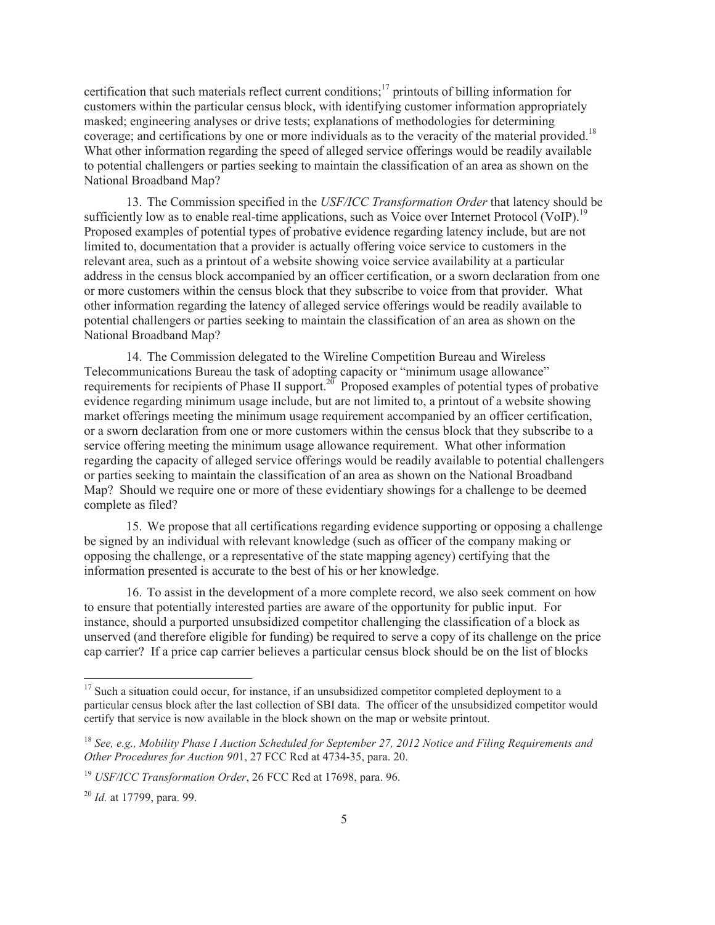certification that such materials reflect current conditions;<sup>17</sup> printouts of billing information for customers within the particular census block, with identifying customer information appropriately masked; engineering analyses or drive tests; explanations of methodologies for determining coverage; and certifications by one or more individuals as to the veracity of the material provided.<sup>18</sup> What other information regarding the speed of alleged service offerings would be readily available to potential challengers or parties seeking to maintain the classification of an area as shown on the National Broadband Map?

13. The Commission specified in the *USF/ICC Transformation Order* that latency should be sufficiently low as to enable real-time applications, such as Voice over Internet Protocol (VoIP).<sup>19</sup> Proposed examples of potential types of probative evidence regarding latency include, but are not limited to, documentation that a provider is actually offering voice service to customers in the relevant area, such as a printout of a website showing voice service availability at a particular address in the census block accompanied by an officer certification, or a sworn declaration from one or more customers within the census block that they subscribe to voice from that provider. What other information regarding the latency of alleged service offerings would be readily available to potential challengers or parties seeking to maintain the classification of an area as shown on the National Broadband Map?

14. The Commission delegated to the Wireline Competition Bureau and Wireless Telecommunications Bureau the task of adopting capacity or "minimum usage allowance" requirements for recipients of Phase II support.<sup>20</sup> Proposed examples of potential types of probative evidence regarding minimum usage include, but are not limited to, a printout of a website showing market offerings meeting the minimum usage requirement accompanied by an officer certification, or a sworn declaration from one or more customers within the census block that they subscribe to a service offering meeting the minimum usage allowance requirement. What other information regarding the capacity of alleged service offerings would be readily available to potential challengers or parties seeking to maintain the classification of an area as shown on the National Broadband Map? Should we require one or more of these evidentiary showings for a challenge to be deemed complete as filed?

15. We propose that all certifications regarding evidence supporting or opposing a challenge be signed by an individual with relevant knowledge (such as officer of the company making or opposing the challenge, or a representative of the state mapping agency) certifying that the information presented is accurate to the best of his or her knowledge.

16. To assist in the development of a more complete record, we also seek comment on how to ensure that potentially interested parties are aware of the opportunity for public input. For instance, should a purported unsubsidized competitor challenging the classification of a block as unserved (and therefore eligible for funding) be required to serve a copy of its challenge on the price cap carrier? If a price cap carrier believes a particular census block should be on the list of blocks

<sup>&</sup>lt;sup>17</sup> Such a situation could occur, for instance, if an unsubsidized competitor completed deployment to a particular census block after the last collection of SBI data. The officer of the unsubsidized competitor would certify that service is now available in the block shown on the map or website printout.

<sup>18</sup> *See, e.g., Mobility Phase I Auction Scheduled for September 27, 2012 Notice and Filing Requirements and Other Procedures for Auction 90*1, 27 FCC Rcd at 4734-35, para. 20.

<sup>19</sup> *USF/ICC Transformation Order*, 26 FCC Rcd at 17698, para. 96.

<sup>20</sup> *Id.* at 17799, para. 99.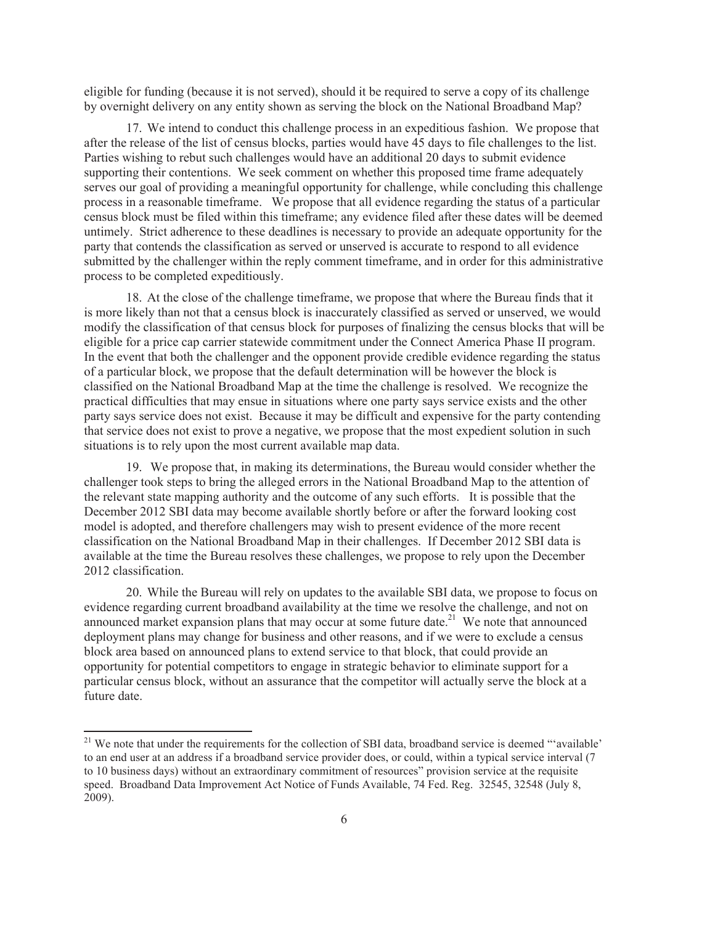eligible for funding (because it is not served), should it be required to serve a copy of its challenge by overnight delivery on any entity shown as serving the block on the National Broadband Map?

17. We intend to conduct this challenge process in an expeditious fashion. We propose that after the release of the list of census blocks, parties would have 45 days to file challenges to the list. Parties wishing to rebut such challenges would have an additional 20 days to submit evidence supporting their contentions. We seek comment on whether this proposed time frame adequately serves our goal of providing a meaningful opportunity for challenge, while concluding this challenge process in a reasonable timeframe. We propose that all evidence regarding the status of a particular census block must be filed within this timeframe; any evidence filed after these dates will be deemed untimely. Strict adherence to these deadlines is necessary to provide an adequate opportunity for the party that contends the classification as served or unserved is accurate to respond to all evidence submitted by the challenger within the reply comment timeframe, and in order for this administrative process to be completed expeditiously.

18. At the close of the challenge timeframe, we propose that where the Bureau finds that it is more likely than not that a census block is inaccurately classified as served or unserved, we would modify the classification of that census block for purposes of finalizing the census blocks that will be eligible for a price cap carrier statewide commitment under the Connect America Phase II program. In the event that both the challenger and the opponent provide credible evidence regarding the status of a particular block, we propose that the default determination will be however the block is classified on the National Broadband Map at the time the challenge is resolved. We recognize the practical difficulties that may ensue in situations where one party says service exists and the other party says service does not exist. Because it may be difficult and expensive for the party contending that service does not exist to prove a negative, we propose that the most expedient solution in such situations is to rely upon the most current available map data.

19. We propose that, in making its determinations, the Bureau would consider whether the challenger took steps to bring the alleged errors in the National Broadband Map to the attention of the relevant state mapping authority and the outcome of any such efforts. It is possible that the December 2012 SBI data may become available shortly before or after the forward looking cost model is adopted, and therefore challengers may wish to present evidence of the more recent classification on the National Broadband Map in their challenges. If December 2012 SBI data is available at the time the Bureau resolves these challenges, we propose to rely upon the December 2012 classification.

20. While the Bureau will rely on updates to the available SBI data, we propose to focus on evidence regarding current broadband availability at the time we resolve the challenge, and not on announced market expansion plans that may occur at some future date.<sup>21</sup> We note that announced deployment plans may change for business and other reasons, and if we were to exclude a census block area based on announced plans to extend service to that block, that could provide an opportunity for potential competitors to engage in strategic behavior to eliminate support for a particular census block, without an assurance that the competitor will actually serve the block at a future date.

<sup>&</sup>lt;sup>21</sup> We note that under the requirements for the collection of SBI data, broadband service is deemed "'available' to an end user at an address if a broadband service provider does, or could, within a typical service interval (7 to 10 business days) without an extraordinary commitment of resources" provision service at the requisite speed. Broadband Data Improvement Act Notice of Funds Available, 74 Fed. Reg. 32545, 32548 (July 8, 2009).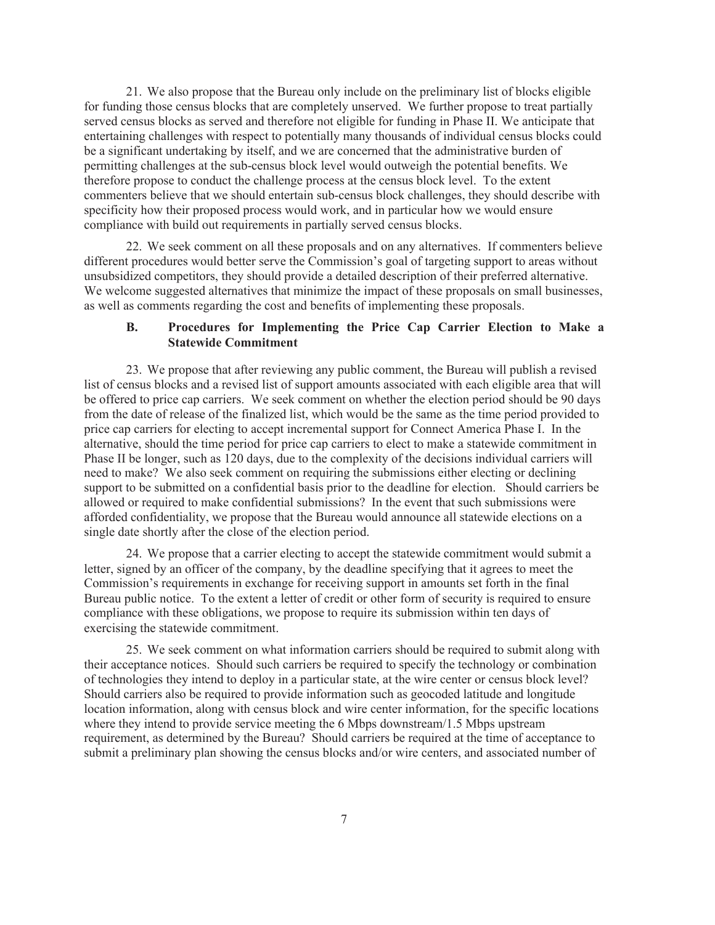21. We also propose that the Bureau only include on the preliminary list of blocks eligible for funding those census blocks that are completely unserved. We further propose to treat partially served census blocks as served and therefore not eligible for funding in Phase II. We anticipate that entertaining challenges with respect to potentially many thousands of individual census blocks could be a significant undertaking by itself, and we are concerned that the administrative burden of permitting challenges at the sub-census block level would outweigh the potential benefits. We therefore propose to conduct the challenge process at the census block level. To the extent commenters believe that we should entertain sub-census block challenges, they should describe with specificity how their proposed process would work, and in particular how we would ensure compliance with build out requirements in partially served census blocks.

22. We seek comment on all these proposals and on any alternatives. If commenters believe different procedures would better serve the Commission's goal of targeting support to areas without unsubsidized competitors, they should provide a detailed description of their preferred alternative. We welcome suggested alternatives that minimize the impact of these proposals on small businesses, as well as comments regarding the cost and benefits of implementing these proposals.

## **B. Procedures for Implementing the Price Cap Carrier Election to Make a Statewide Commitment**

23. We propose that after reviewing any public comment, the Bureau will publish a revised list of census blocks and a revised list of support amounts associated with each eligible area that will be offered to price cap carriers. We seek comment on whether the election period should be 90 days from the date of release of the finalized list, which would be the same as the time period provided to price cap carriers for electing to accept incremental support for Connect America Phase I. In the alternative, should the time period for price cap carriers to elect to make a statewide commitment in Phase II be longer, such as 120 days, due to the complexity of the decisions individual carriers will need to make? We also seek comment on requiring the submissions either electing or declining support to be submitted on a confidential basis prior to the deadline for election. Should carriers be allowed or required to make confidential submissions? In the event that such submissions were afforded confidentiality, we propose that the Bureau would announce all statewide elections on a single date shortly after the close of the election period.

24. We propose that a carrier electing to accept the statewide commitment would submit a letter, signed by an officer of the company, by the deadline specifying that it agrees to meet the Commission's requirements in exchange for receiving support in amounts set forth in the final Bureau public notice. To the extent a letter of credit or other form of security is required to ensure compliance with these obligations, we propose to require its submission within ten days of exercising the statewide commitment.

25. We seek comment on what information carriers should be required to submit along with their acceptance notices. Should such carriers be required to specify the technology or combination of technologies they intend to deploy in a particular state, at the wire center or census block level? Should carriers also be required to provide information such as geocoded latitude and longitude location information, along with census block and wire center information, for the specific locations where they intend to provide service meeting the 6 Mbps downstream/1.5 Mbps upstream requirement, as determined by the Bureau? Should carriers be required at the time of acceptance to submit a preliminary plan showing the census blocks and/or wire centers, and associated number of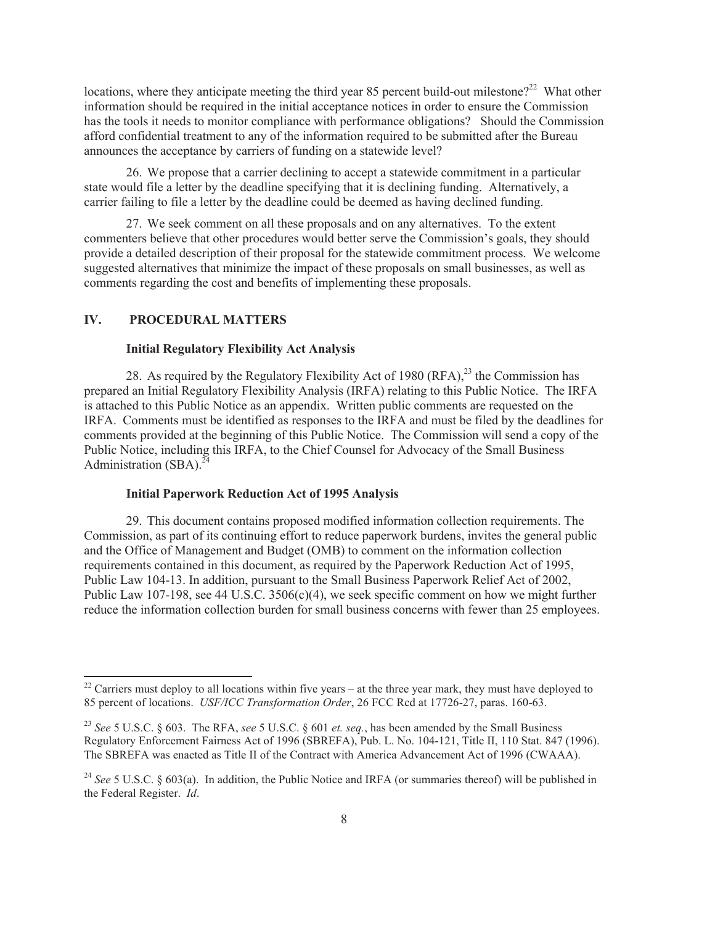locations, where they anticipate meeting the third year 85 percent build-out milestone?<sup>22</sup> What other information should be required in the initial acceptance notices in order to ensure the Commission has the tools it needs to monitor compliance with performance obligations? Should the Commission afford confidential treatment to any of the information required to be submitted after the Bureau announces the acceptance by carriers of funding on a statewide level?

26. We propose that a carrier declining to accept a statewide commitment in a particular state would file a letter by the deadline specifying that it is declining funding. Alternatively, a carrier failing to file a letter by the deadline could be deemed as having declined funding.

27. We seek comment on all these proposals and on any alternatives. To the extent commenters believe that other procedures would better serve the Commission's goals, they should provide a detailed description of their proposal for the statewide commitment process. We welcome suggested alternatives that minimize the impact of these proposals on small businesses, as well as comments regarding the cost and benefits of implementing these proposals.

### **IV. PROCEDURAL MATTERS**

#### **Initial Regulatory Flexibility Act Analysis**

28. As required by the Regulatory Flexibility Act of 1980 (RFA), $^{23}$  the Commission has prepared an Initial Regulatory Flexibility Analysis (IRFA) relating to this Public Notice. The IRFA is attached to this Public Notice as an appendix. Written public comments are requested on the IRFA. Comments must be identified as responses to the IRFA and must be filed by the deadlines for comments provided at the beginning of this Public Notice. The Commission will send a copy of the Public Notice, including this IRFA, to the Chief Counsel for Advocacy of the Small Business Administration  $(SBA)$ .<sup>24</sup>

#### **Initial Paperwork Reduction Act of 1995 Analysis**

29. This document contains proposed modified information collection requirements. The Commission, as part of its continuing effort to reduce paperwork burdens, invites the general public and the Office of Management and Budget (OMB) to comment on the information collection requirements contained in this document, as required by the Paperwork Reduction Act of 1995, Public Law 104-13. In addition, pursuant to the Small Business Paperwork Relief Act of 2002, Public Law 107-198, see 44 U.S.C.  $3506(c)(4)$ , we seek specific comment on how we might further reduce the information collection burden for small business concerns with fewer than 25 employees.

 $22$  Carriers must deploy to all locations within five years – at the three year mark, they must have deployed to 85 percent of locations. *USF/ICC Transformation Order*, 26 FCC Rcd at 17726-27, paras. 160-63.

<sup>23</sup> *See* 5 U.S.C. § 603. The RFA, *see* 5 U.S.C. § 601 *et. seq.*, has been amended by the Small Business Regulatory Enforcement Fairness Act of 1996 (SBREFA), Pub. L. No. 104-121, Title II, 110 Stat. 847 (1996). The SBREFA was enacted as Title II of the Contract with America Advancement Act of 1996 (CWAAA).

<sup>&</sup>lt;sup>24</sup> See 5 U.S.C. § 603(a). In addition, the Public Notice and IRFA (or summaries thereof) will be published in the Federal Register. *Id*.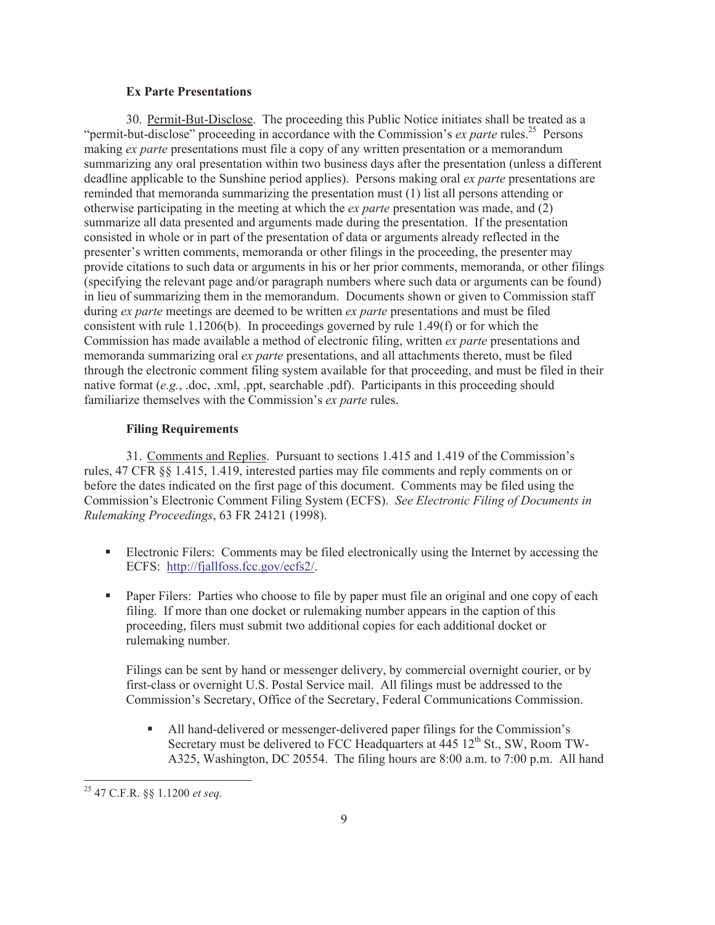#### **Ex Parte Presentations**

30. Permit-But-Disclose. The proceeding this Public Notice initiates shall be treated as a "permit-but-disclose" proceeding in accordance with the Commission's *ex parte* rules.<sup>25</sup> Persons making *ex parte* presentations must file a copy of any written presentation or a memorandum summarizing any oral presentation within two business days after the presentation (unless a different deadline applicable to the Sunshine period applies). Persons making oral *ex parte* presentations are reminded that memoranda summarizing the presentation must (1) list all persons attending or otherwise participating in the meeting at which the *ex parte* presentation was made, and (2) summarize all data presented and arguments made during the presentation. If the presentation consisted in whole or in part of the presentation of data or arguments already reflected in the presenter's written comments, memoranda or other filings in the proceeding, the presenter may provide citations to such data or arguments in his or her prior comments, memoranda, or other filings (specifying the relevant page and/or paragraph numbers where such data or arguments can be found) in lieu of summarizing them in the memorandum. Documents shown or given to Commission staff during *ex parte* meetings are deemed to be written *ex parte* presentations and must be filed consistent with rule 1.1206(b). In proceedings governed by rule 1.49(f) or for which the Commission has made available a method of electronic filing, written *ex parte* presentations and memoranda summarizing oral *ex parte* presentations, and all attachments thereto, must be filed through the electronic comment filing system available for that proceeding, and must be filed in their native format (*e.g.*, .doc, .xml, .ppt, searchable .pdf). Participants in this proceeding should familiarize themselves with the Commission's *ex parte* rules.

#### **Filing Requirements**

31. Comments and Replies. Pursuant to sections 1.415 and 1.419 of the Commission's rules, 47 CFR §§ 1.415, 1.419, interested parties may file comments and reply comments on or before the dates indicated on the first page of this document. Comments may be filed using the Commission's Electronic Comment Filing System (ECFS). *See Electronic Filing of Documents in Rulemaking Proceedings*, 63 FR 24121 (1998).

- Electronic Filers: Comments may be filed electronically using the Internet by accessing the ECFS: http://fjallfoss.fcc.gov/ecfs2/.
- Paper Filers: Parties who choose to file by paper must file an original and one copy of each filing. If more than one docket or rulemaking number appears in the caption of this proceeding, filers must submit two additional copies for each additional docket or rulemaking number.

Filings can be sent by hand or messenger delivery, by commercial overnight courier, or by first-class or overnight U.S. Postal Service mail. All filings must be addressed to the Commission's Secretary, Office of the Secretary, Federal Communications Commission.

§ All hand-delivered or messenger-delivered paper filings for the Commission's Secretary must be delivered to FCC Headquarters at 445 12<sup>th</sup> St., SW, Room TW-A325, Washington, DC 20554. The filing hours are 8:00 a.m. to 7:00 p.m. All hand

<sup>25</sup> 47 C.F.R. §§ 1.1200 *et seq.*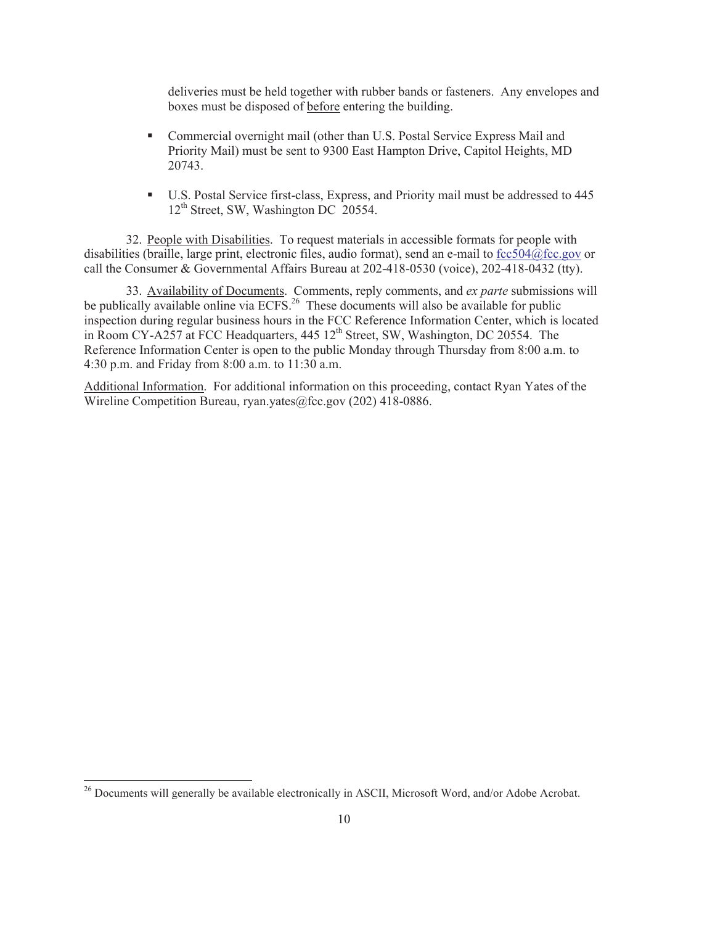deliveries must be held together with rubber bands or fasteners. Any envelopes and boxes must be disposed of before entering the building.

- Commercial overnight mail (other than U.S. Postal Service Express Mail and Priority Mail) must be sent to 9300 East Hampton Drive, Capitol Heights, MD 20743.
- U.S. Postal Service first-class, Express, and Priority mail must be addressed to 445 12<sup>th</sup> Street, SW, Washington DC 20554.

32. People with Disabilities. To request materials in accessible formats for people with disabilities (braille, large print, electronic files, audio format), send an e-mail to fcc504@fcc.gov or call the Consumer & Governmental Affairs Bureau at 202-418-0530 (voice), 202-418-0432 (tty).

33. Availability of Documents. Comments, reply comments, and *ex parte* submissions will be publically available online via ECFS.<sup>26</sup> These documents will also be available for public inspection during regular business hours in the FCC Reference Information Center, which is located in Room CY-A257 at FCC Headquarters, 445 12<sup>th</sup> Street, SW, Washington, DC 20554. The Reference Information Center is open to the public Monday through Thursday from 8:00 a.m. to 4:30 p.m. and Friday from 8:00 a.m. to 11:30 a.m.

Additional Information. For additional information on this proceeding, contact Ryan Yates of the Wireline Competition Bureau, ryan.yates@fcc.gov (202) 418-0886.

<sup>&</sup>lt;sup>26</sup> Documents will generally be available electronically in ASCII, Microsoft Word, and/or Adobe Acrobat.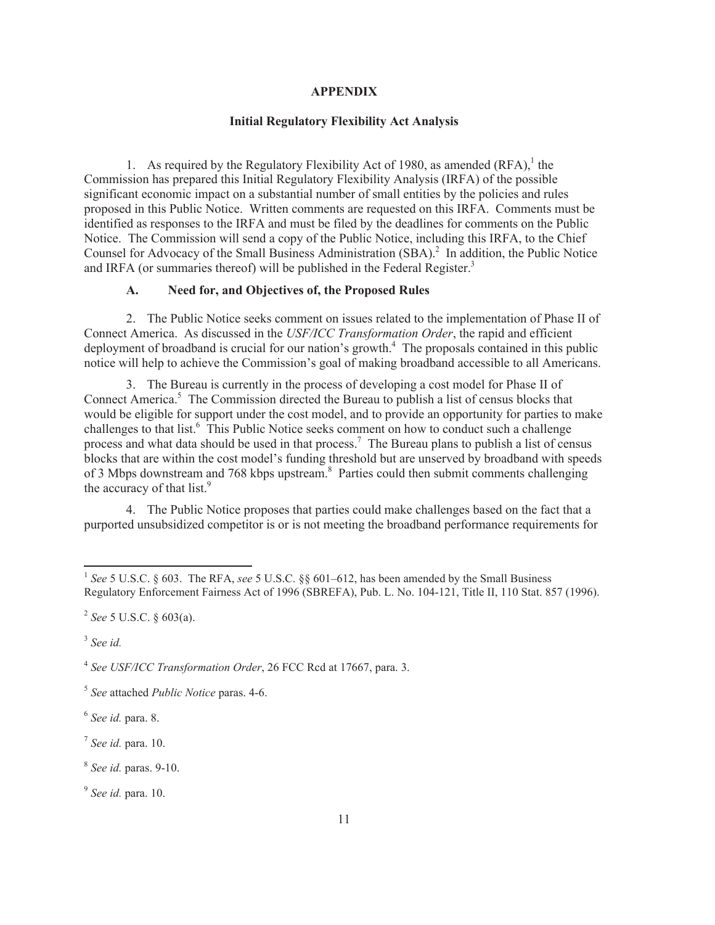#### **APPENDIX**

### **Initial Regulatory Flexibility Act Analysis**

1. As required by the Regulatory Flexibility Act of 1980, as amended  $(RFA)$ ,<sup>1</sup> the Commission has prepared this Initial Regulatory Flexibility Analysis (IRFA) of the possible significant economic impact on a substantial number of small entities by the policies and rules proposed in this Public Notice. Written comments are requested on this IRFA. Comments must be identified as responses to the IRFA and must be filed by the deadlines for comments on the Public Notice. The Commission will send a copy of the Public Notice, including this IRFA, to the Chief Counsel for Advocacy of the Small Business Administration (SBA).<sup>2</sup> In addition, the Public Notice and IRFA (or summaries thereof) will be published in the Federal Register.<sup>3</sup>

### **A. Need for, and Objectives of, the Proposed Rules**

2. The Public Notice seeks comment on issues related to the implementation of Phase II of Connect America. As discussed in the *USF/ICC Transformation Order*, the rapid and efficient deployment of broadband is crucial for our nation's growth.<sup>4</sup> The proposals contained in this public notice will help to achieve the Commission's goal of making broadband accessible to all Americans.

3. The Bureau is currently in the process of developing a cost model for Phase II of Connect America.<sup>5</sup> The Commission directed the Bureau to publish a list of census blocks that would be eligible for support under the cost model, and to provide an opportunity for parties to make challenges to that list.<sup>6</sup> This Public Notice seeks comment on how to conduct such a challenge process and what data should be used in that process.<sup>7</sup> The Bureau plans to publish a list of census blocks that are within the cost model's funding threshold but are unserved by broadband with speeds of 3 Mbps downstream and 768 kbps upstream.<sup>8</sup> Parties could then submit comments challenging the accuracy of that list.<sup>9</sup>

4. The Public Notice proposes that parties could make challenges based on the fact that a purported unsubsidized competitor is or is not meeting the broadband performance requirements for

3 *See id.*

4 *See USF/ICC Transformation Order*, 26 FCC Rcd at 17667, para. 3.

6 *See id.* para. 8.

7 *See id.* para. 10.

8 *See id.* paras. 9-10.

9 *See id.* para. 10.

<sup>&</sup>lt;sup>1</sup> See 5 U.S.C. § 603. The RFA, see 5 U.S.C. §§ 601–612, has been amended by the Small Business Regulatory Enforcement Fairness Act of 1996 (SBREFA), Pub. L. No. 104-121, Title II, 110 Stat. 857 (1996).

<sup>2</sup> *See* 5 U.S.C. § 603(a).

<sup>5</sup> *See* attached *Public Notice* paras. 4-6.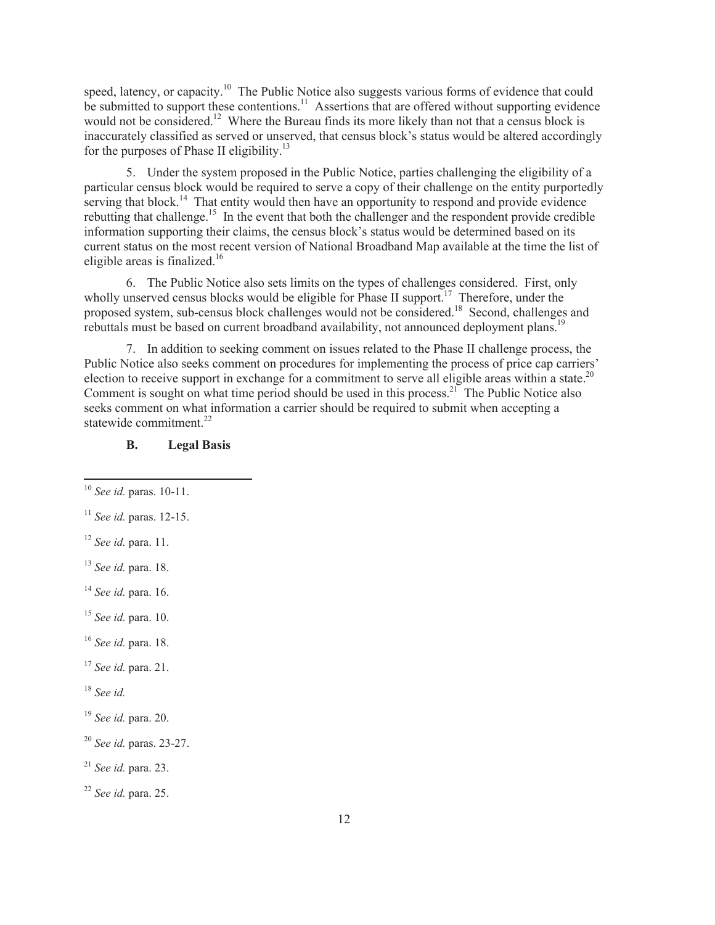speed, latency, or capacity.<sup>10</sup> The Public Notice also suggests various forms of evidence that could be submitted to support these contentions.<sup>11</sup> Assertions that are offered without supporting evidence would not be considered.<sup>12</sup> Where the Bureau finds its more likely than not that a census block is inaccurately classified as served or unserved, that census block's status would be altered accordingly for the purposes of Phase II eligibility.<sup>13</sup>

5. Under the system proposed in the Public Notice, parties challenging the eligibility of a particular census block would be required to serve a copy of their challenge on the entity purportedly serving that block.<sup>14</sup> That entity would then have an opportunity to respond and provide evidence rebutting that challenge.<sup>15</sup> In the event that both the challenger and the respondent provide credible information supporting their claims, the census block's status would be determined based on its current status on the most recent version of National Broadband Map available at the time the list of eligible areas is finalized.<sup>16</sup>

6. The Public Notice also sets limits on the types of challenges considered. First, only wholly unserved census blocks would be eligible for Phase II support.<sup>17</sup> Therefore, under the proposed system, sub-census block challenges would not be considered.<sup>18</sup> Second, challenges and rebuttals must be based on current broadband availability, not announced deployment plans.<sup>19</sup>

7. In addition to seeking comment on issues related to the Phase II challenge process, the Public Notice also seeks comment on procedures for implementing the process of price cap carriers' election to receive support in exchange for a commitment to serve all eligible areas within a state.<sup>20</sup> Comment is sought on what time period should be used in this process.<sup>21</sup> The Public Notice also seeks comment on what information a carrier should be required to submit when accepting a statewide commitment.<sup>22</sup>

# **B. Legal Basis**

<sup>15</sup> *See id.* para. 10.

<sup>17</sup> *See id.* para. 21.

<sup>18</sup> *See id.*

<sup>19</sup> *See id.* para. 20.

<sup>21</sup> *See id.* para. 23.

<sup>10</sup> *See id.* paras. 10-11.

<sup>11</sup> *See id.* paras. 12-15.

<sup>12</sup> *See id.* para. 11.

<sup>13</sup> *See id.* para. 18.

<sup>14</sup> *See id.* para. 16.

<sup>16</sup> *See id.* para. 18.

<sup>20</sup> *See id.* paras. 23-27.

<sup>22</sup> *See id.* para. 25.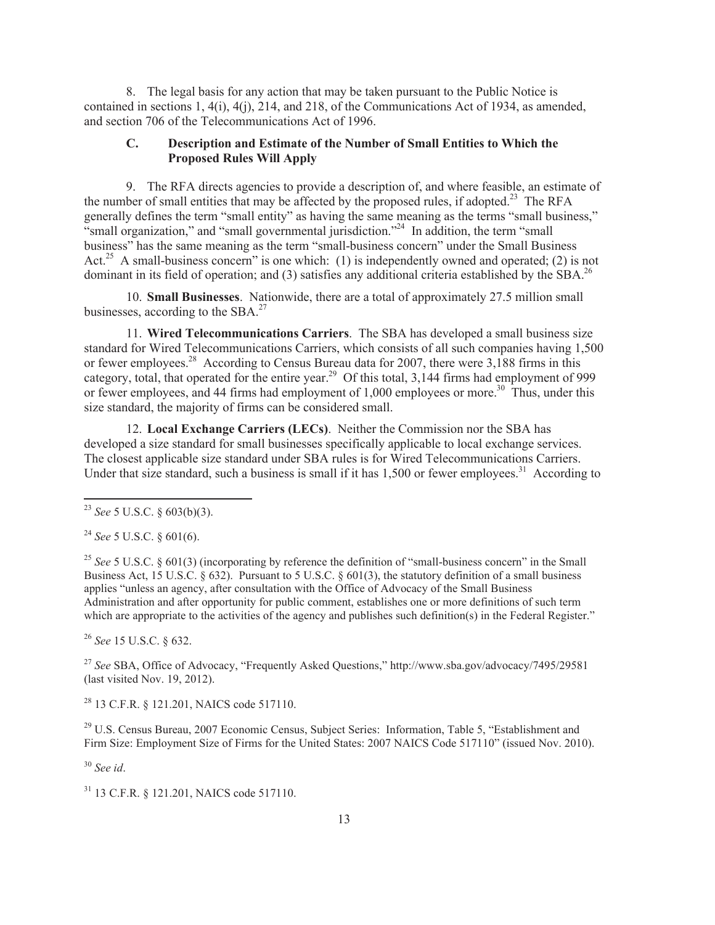8. The legal basis for any action that may be taken pursuant to the Public Notice is contained in sections 1, 4(i), 4(j), 214, and 218, of the Communications Act of 1934, as amended, and section 706 of the Telecommunications Act of 1996.

## **C. Description and Estimate of the Number of Small Entities to Which the Proposed Rules Will Apply**

9. The RFA directs agencies to provide a description of, and where feasible, an estimate of the number of small entities that may be affected by the proposed rules, if adopted.<sup>23</sup> The RFA generally defines the term "small entity" as having the same meaning as the terms "small business," "small organization," and "small governmental jurisdiction."<sup>24</sup> In addition, the term "small business" has the same meaning as the term "small-business concern" under the Small Business Act.<sup>25</sup> A small-business concern" is one which: (1) is independently owned and operated; (2) is not dominant in its field of operation; and (3) satisfies any additional criteria established by the SBA.<sup>26</sup>

10. **Small Businesses**. Nationwide, there are a total of approximately 27.5 million small businesses, according to the  $SBA.<sup>27</sup>$ 

11. **Wired Telecommunications Carriers**. The SBA has developed a small business size standard for Wired Telecommunications Carriers, which consists of all such companies having 1,500 or fewer employees.<sup>28</sup> According to Census Bureau data for 2007, there were 3,188 firms in this category, total, that operated for the entire year.<sup>29</sup> Of this total,  $3,144$  firms had employment of 999 or fewer employees, and 44 firms had employment of 1,000 employees or more.<sup>30</sup> Thus, under this size standard, the majority of firms can be considered small.

12. **Local Exchange Carriers (LECs)**. Neither the Commission nor the SBA has developed a size standard for small businesses specifically applicable to local exchange services. The closest applicable size standard under SBA rules is for Wired Telecommunications Carriers. Under that size standard, such a business is small if it has  $1,500$  or fewer employees.<sup>31</sup> According to

<sup>24</sup> *See* 5 U.S.C. § 601(6).

<sup>25</sup> See 5 U.S.C. § 601(3) (incorporating by reference the definition of "small-business concern" in the Small Business Act, 15 U.S.C. § 632). Pursuant to 5 U.S.C. § 601(3), the statutory definition of a small business applies "unless an agency, after consultation with the Office of Advocacy of the Small Business Administration and after opportunity for public comment, establishes one or more definitions of such term which are appropriate to the activities of the agency and publishes such definition(s) in the Federal Register."

<sup>26</sup> *See* 15 U.S.C. § 632.

<sup>27</sup> *See* SBA, Office of Advocacy, "Frequently Asked Questions," http://www.sba.gov/advocacy/7495/29581 (last visited Nov. 19, 2012).

<sup>28</sup> 13 C.F.R. § 121.201, NAICS code 517110.

<sup>29</sup> U.S. Census Bureau, 2007 Economic Census, Subject Series: Information, Table 5, "Establishment and Firm Size: Employment Size of Firms for the United States: 2007 NAICS Code 517110" (issued Nov. 2010).

<sup>30</sup> *See id*.

<sup>31</sup> 13 C.F.R. § 121.201, NAICS code 517110.

<sup>23</sup> *See* 5 U.S.C. § 603(b)(3).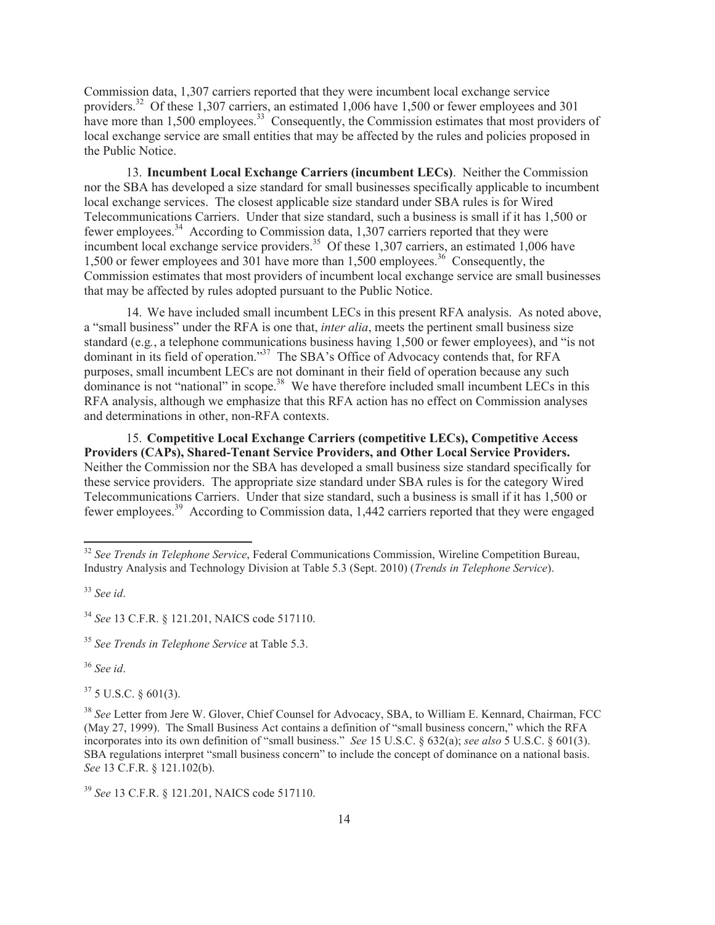Commission data, 1,307 carriers reported that they were incumbent local exchange service providers.<sup>32</sup> Of these 1,307 carriers, an estimated 1,006 have 1,500 or fewer employees and 301 have more than 1,500 employees.<sup>33</sup> Consequently, the Commission estimates that most providers of local exchange service are small entities that may be affected by the rules and policies proposed in the Public Notice.

13. **Incumbent Local Exchange Carriers (incumbent LECs)**. Neither the Commission nor the SBA has developed a size standard for small businesses specifically applicable to incumbent local exchange services. The closest applicable size standard under SBA rules is for Wired Telecommunications Carriers. Under that size standard, such a business is small if it has 1,500 or fewer employees.<sup>34</sup> According to Commission data, 1,307 carriers reported that they were incumbent local exchange service providers.<sup>35</sup> Of these 1,307 carriers, an estimated 1,006 have 1,500 or fewer employees and 301 have more than 1,500 employees.<sup>36</sup> Consequently, the Commission estimates that most providers of incumbent local exchange service are small businesses that may be affected by rules adopted pursuant to the Public Notice.

14. We have included small incumbent LECs in this present RFA analysis. As noted above, a "small business" under the RFA is one that, *inter alia*, meets the pertinent small business size standard (e.g*.*, a telephone communications business having 1,500 or fewer employees), and "is not dominant in its field of operation."<sup>37</sup> The SBA's Office of Advocacy contends that, for RFA purposes, small incumbent LECs are not dominant in their field of operation because any such dominance is not "national" in scope.<sup>38</sup> We have therefore included small incumbent LECs in this RFA analysis, although we emphasize that this RFA action has no effect on Commission analyses and determinations in other, non-RFA contexts.

15. **Competitive Local Exchange Carriers (competitive LECs), Competitive Access Providers (CAPs), Shared-Tenant Service Providers, and Other Local Service Providers.** Neither the Commission nor the SBA has developed a small business size standard specifically for these service providers. The appropriate size standard under SBA rules is for the category Wired Telecommunications Carriers. Under that size standard, such a business is small if it has 1,500 or fewer employees.<sup>39</sup> According to Commission data, 1,442 carriers reported that they were engaged

<sup>36</sup> *See id*.

 $37$  5 U.S.C. § 601(3).

<sup>32</sup> *See Trends in Telephone Service*, Federal Communications Commission, Wireline Competition Bureau, Industry Analysis and Technology Division at Table 5.3 (Sept. 2010) (*Trends in Telephone Service*).

<sup>33</sup> *See id*.

<sup>34</sup> *See* 13 C.F.R. § 121.201, NAICS code 517110.

<sup>35</sup> *See Trends in Telephone Service* at Table 5.3.

<sup>38</sup> *See* Letter from Jere W. Glover, Chief Counsel for Advocacy, SBA, to William E. Kennard, Chairman, FCC (May 27, 1999). The Small Business Act contains a definition of "small business concern," which the RFA incorporates into its own definition of "small business." *See* 15 U.S.C. § 632(a); *see also* 5 U.S.C. § 601(3). SBA regulations interpret "small business concern" to include the concept of dominance on a national basis. *See* 13 C.F.R. § 121.102(b).

<sup>39</sup> *See* 13 C.F.R. § 121.201, NAICS code 517110.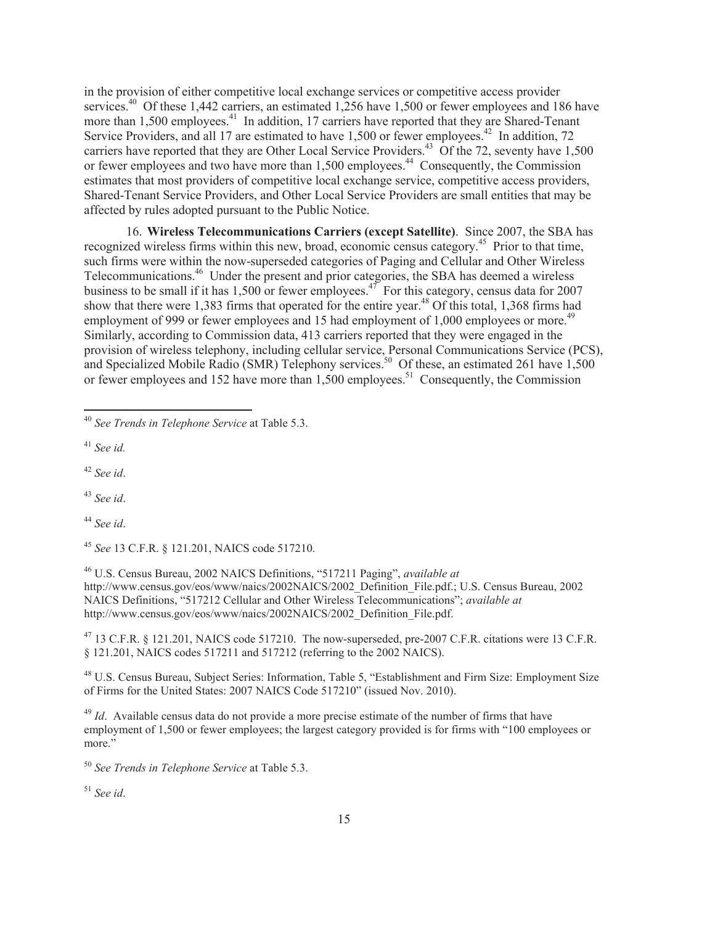in the provision of either competitive local exchange services or competitive access provider services.<sup>40</sup> Of these 1,442 carriers, an estimated 1,256 have 1,500 or fewer employees and 186 have more than 1,500 employees.<sup>41</sup> In addition, 17 carriers have reported that they are Shared-Tenant Service Providers, and all 17 are estimated to have 1,500 or fewer employees.<sup>42</sup> In addition, 72 carriers have reported that they are Other Local Service Providers.<sup>43</sup> Of the 72, seventy have  $1,500$ or fewer employees and two have more than 1,500 employees.<sup>44</sup> Consequently, the Commission estimates that most providers of competitive local exchange service, competitive access providers, Shared-Tenant Service Providers, and Other Local Service Providers are small entities that may be affected by rules adopted pursuant to the Public Notice.

16. **Wireless Telecommunications Carriers (except Satellite)**. Since 2007, the SBA has recognized wireless firms within this new, broad, economic census category.<sup>45</sup> Prior to that time, such firms were within the now-superseded categories of Paging and Cellular and Other Wireless Telecommunications.<sup>46</sup> Under the present and prior categories, the SBA has deemed a wireless business to be small if it has 1,500 or fewer employees.<sup>47</sup> For this category, census data for 2007 show that there were 1,383 firms that operated for the entire year.<sup>48</sup> Of this total, 1,368 firms had employment of 999 or fewer employees and 15 had employment of 1,000 employees or more.<sup>49</sup> Similarly, according to Commission data, 413 carriers reported that they were engaged in the provision of wireless telephony, including cellular service, Personal Communications Service (PCS), and Specialized Mobile Radio (SMR) Telephony services.<sup>50</sup> Of these, an estimated 261 have  $1,500$ or fewer employees and 152 have more than 1,500 employees.<sup>51</sup> Consequently, the Commission

<sup>41</sup> *See id.*

<sup>42</sup> *See id*.

<sup>43</sup> *See id*.

<sup>44</sup> *See id*.

<sup>45</sup> *See* 13 C.F.R. § 121.201, NAICS code 517210.

<sup>46</sup> U.S. Census Bureau, 2002 NAICS Definitions, "517211 Paging", *available at* http://www.census.gov/eos/www/naics/2002NAICS/2002\_Definition\_File.pdf.; U.S. Census Bureau, 2002 NAICS Definitions, "517212 Cellular and Other Wireless Telecommunications"; *available at* http://www.census.gov/eos/www/naics/2002NAICS/2002\_Definition\_File.pdf.

<sup>47</sup> 13 C.F.R. § 121.201, NAICS code 517210. The now-superseded, pre-2007 C.F.R. citations were 13 C.F.R. § 121.201, NAICS codes 517211 and 517212 (referring to the 2002 NAICS).

<sup>48</sup> U.S. Census Bureau, Subject Series: Information, Table 5, "Establishment and Firm Size: Employment Size of Firms for the United States: 2007 NAICS Code 517210" (issued Nov. 2010).

<sup>49</sup> *Id.* Available census data do not provide a more precise estimate of the number of firms that have employment of 1,500 or fewer employees; the largest category provided is for firms with "100 employees or more."

<sup>50</sup> *See Trends in Telephone Service* at Table 5.3.

<sup>51</sup> *See id*.

<sup>40</sup> *See Trends in Telephone Service* at Table 5.3.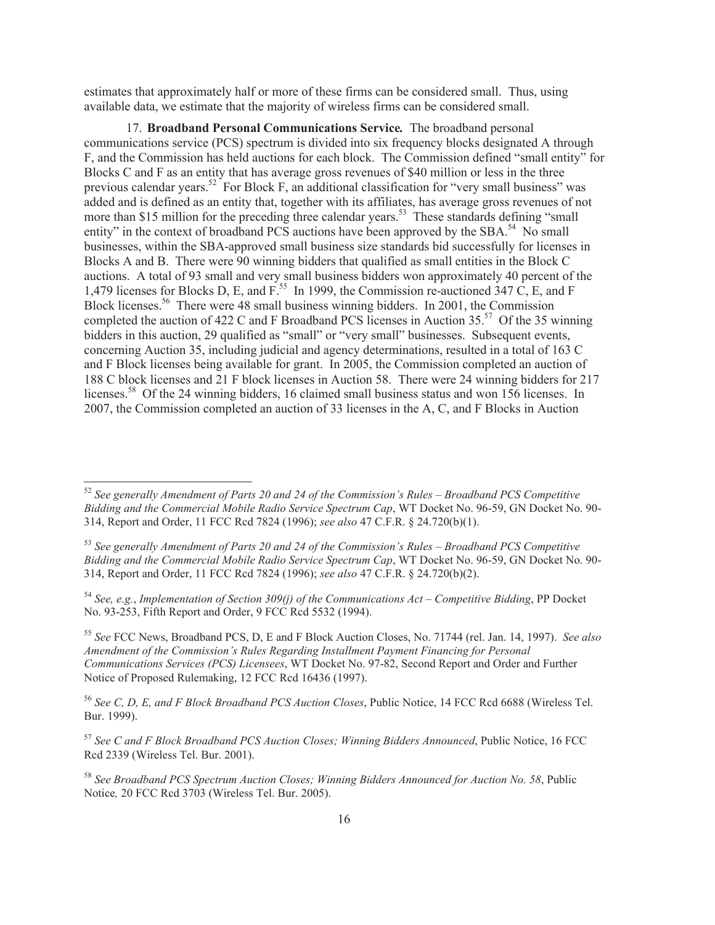estimates that approximately half or more of these firms can be considered small. Thus, using available data, we estimate that the majority of wireless firms can be considered small.

17. **Broadband Personal Communications Service***.* The broadband personal communications service (PCS) spectrum is divided into six frequency blocks designated A through F, and the Commission has held auctions for each block. The Commission defined "small entity" for Blocks C and F as an entity that has average gross revenues of \$40 million or less in the three previous calendar years.<sup>52</sup> For Block F, an additional classification for "very small business" was added and is defined as an entity that, together with its affiliates, has average gross revenues of not more than \$15 million for the preceding three calendar years.<sup>53</sup> These standards defining "small" entity" in the context of broadband PCS auctions have been approved by the SBA.<sup>54</sup> No small businesses, within the SBA-approved small business size standards bid successfully for licenses in Blocks A and B. There were 90 winning bidders that qualified as small entities in the Block C auctions. A total of 93 small and very small business bidders won approximately 40 percent of the 1,479 licenses for Blocks D, E, and F.<sup>55</sup> In 1999, the Commission re-auctioned 347 C, E, and F Block licenses.<sup>56</sup> There were 48 small business winning bidders. In 2001, the Commission completed the auction of 422 C and F Broadband PCS licenses in Auction  $35<sup>57</sup>$  Of the 35 winning bidders in this auction, 29 qualified as "small" or "very small" businesses. Subsequent events, concerning Auction 35, including judicial and agency determinations, resulted in a total of 163 C and F Block licenses being available for grant. In 2005, the Commission completed an auction of 188 C block licenses and 21 F block licenses in Auction 58. There were 24 winning bidders for 217 licenses.<sup>58</sup> Of the 24 winning bidders, 16 claimed small business status and won 156 licenses. In 2007, the Commission completed an auction of 33 licenses in the A, C, and F Blocks in Auction

<sup>52</sup> *See generally Amendment of Parts 20 and 24 of the Commission's Rules – Broadband PCS Competitive Bidding and the Commercial Mobile Radio Service Spectrum Cap*, WT Docket No. 96-59, GN Docket No. 90- 314, Report and Order, 11 FCC Rcd 7824 (1996); *see also* 47 C.F.R. § 24.720(b)(1).

<sup>53</sup> *See generally Amendment of Parts 20 and 24 of the Commission's Rules – Broadband PCS Competitive Bidding and the Commercial Mobile Radio Service Spectrum Cap*, WT Docket No. 96-59, GN Docket No. 90- 314, Report and Order, 11 FCC Rcd 7824 (1996); *see also* 47 C.F.R. § 24.720(b)(2).

<sup>54</sup> *See, e.g.*, *Implementation of Section 309(j) of the Communications Act – Competitive Bidding*, PP Docket No. 93-253, Fifth Report and Order, 9 FCC Rcd 5532 (1994).

<sup>55</sup> *See* FCC News, Broadband PCS, D, E and F Block Auction Closes, No. 71744 (rel. Jan. 14, 1997). *See also Amendment of the Commission's Rules Regarding Installment Payment Financing for Personal Communications Services (PCS) Licensees*, WT Docket No. 97-82, Second Report and Order and Further Notice of Proposed Rulemaking, 12 FCC Rcd 16436 (1997).

<sup>56</sup> *See C, D, E, and F Block Broadband PCS Auction Closes*, Public Notice, 14 FCC Rcd 6688 (Wireless Tel. Bur. 1999).

<sup>57</sup> *See C and F Block Broadband PCS Auction Closes; Winning Bidders Announced*, Public Notice, 16 FCC Rcd 2339 (Wireless Tel. Bur. 2001).

<sup>58</sup> *See Broadband PCS Spectrum Auction Closes; Winning Bidders Announced for Auction No. 58*, Public Notice*,* 20 FCC Rcd 3703 (Wireless Tel. Bur. 2005).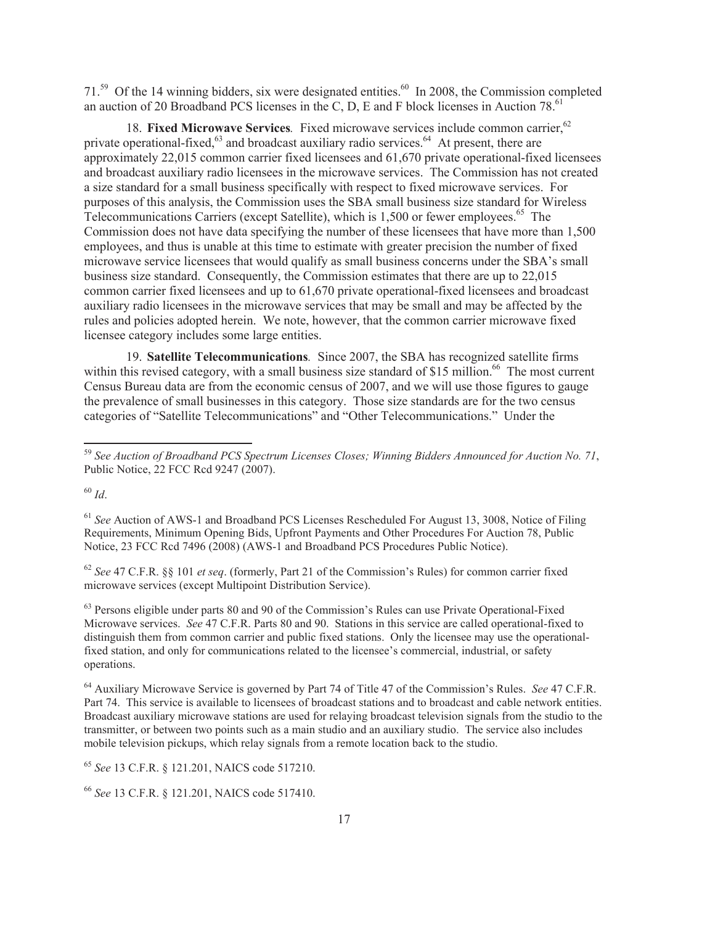71.<sup>59</sup> Of the 14 winning bidders, six were designated entities.<sup>60</sup> In 2008, the Commission completed an auction of 20 Broadband PCS licenses in the C, D, E and F block licenses in Auction 78.<sup>61</sup>

18. Fixed Microwave Services. Fixed microwave services include common carrier.<sup>62</sup> private operational-fixed, $63$  and broadcast auxiliary radio services. $64$  At present, there are approximately 22,015 common carrier fixed licensees and 61,670 private operational-fixed licensees and broadcast auxiliary radio licensees in the microwave services. The Commission has not created a size standard for a small business specifically with respect to fixed microwave services. For purposes of this analysis, the Commission uses the SBA small business size standard for Wireless Telecommunications Carriers (except Satellite), which is 1,500 or fewer employees.<sup>65</sup> The Commission does not have data specifying the number of these licensees that have more than 1,500 employees, and thus is unable at this time to estimate with greater precision the number of fixed microwave service licensees that would qualify as small business concerns under the SBA's small business size standard. Consequently, the Commission estimates that there are up to 22,015 common carrier fixed licensees and up to 61,670 private operational-fixed licensees and broadcast auxiliary radio licensees in the microwave services that may be small and may be affected by the rules and policies adopted herein. We note, however, that the common carrier microwave fixed licensee category includes some large entities.

19. **Satellite Telecommunications***.* Since 2007, the SBA has recognized satellite firms within this revised category, with a small business size standard of \$15 million.<sup>66</sup> The most current Census Bureau data are from the economic census of 2007, and we will use those figures to gauge the prevalence of small businesses in this category. Those size standards are for the two census categories of "Satellite Telecommunications" and "Other Telecommunications." Under the

<sup>60</sup> *Id*.

<sup>61</sup> *See* Auction of AWS-1 and Broadband PCS Licenses Rescheduled For August 13, 3008, Notice of Filing Requirements, Minimum Opening Bids, Upfront Payments and Other Procedures For Auction 78, Public Notice, 23 FCC Rcd 7496 (2008) (AWS-1 and Broadband PCS Procedures Public Notice).

<sup>62</sup> *See* 47 C.F.R. §§ 101 *et seq*. (formerly, Part 21 of the Commission's Rules) for common carrier fixed microwave services (except Multipoint Distribution Service).

<sup>63</sup> Persons eligible under parts 80 and 90 of the Commission's Rules can use Private Operational-Fixed Microwave services. *See* 47 C.F.R. Parts 80 and 90. Stations in this service are called operational-fixed to distinguish them from common carrier and public fixed stations. Only the licensee may use the operationalfixed station, and only for communications related to the licensee's commercial, industrial, or safety operations.

<sup>64</sup> Auxiliary Microwave Service is governed by Part 74 of Title 47 of the Commission's Rules. *See* 47 C.F.R. Part 74. This service is available to licensees of broadcast stations and to broadcast and cable network entities. Broadcast auxiliary microwave stations are used for relaying broadcast television signals from the studio to the transmitter, or between two points such as a main studio and an auxiliary studio. The service also includes mobile television pickups, which relay signals from a remote location back to the studio.

<sup>65</sup> *See* 13 C.F.R. § 121.201, NAICS code 517210.

<sup>66</sup> *See* 13 C.F.R. § 121.201, NAICS code 517410.

<sup>59</sup> *See Auction of Broadband PCS Spectrum Licenses Closes; Winning Bidders Announced for Auction No. 71*, Public Notice, 22 FCC Rcd 9247 (2007).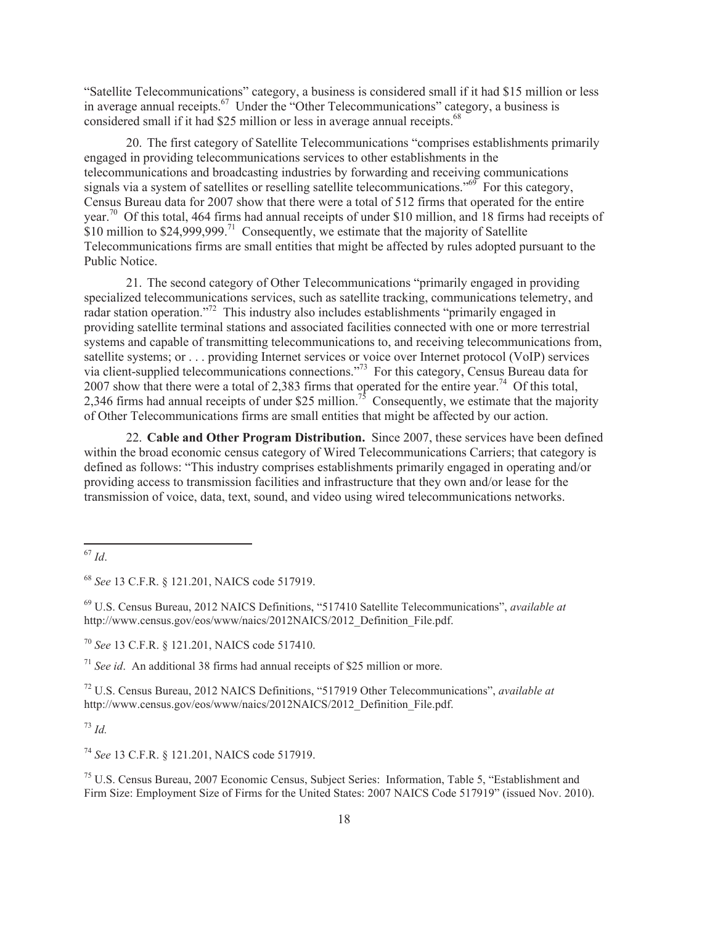"Satellite Telecommunications" category, a business is considered small if it had \$15 million or less in average annual receipts.<sup>67</sup> Under the "Other Telecommunications" category, a business is considered small if it had \$25 million or less in average annual receipts.<sup>68</sup>

20. The first category of Satellite Telecommunications "comprises establishments primarily engaged in providing telecommunications services to other establishments in the telecommunications and broadcasting industries by forwarding and receiving communications signals via a system of satellites or reselling satellite telecommunications."<sup>69</sup> For this category, Census Bureau data for 2007 show that there were a total of 512 firms that operated for the entire year.<sup>70</sup> Of this total, 464 firms had annual receipts of under \$10 million, and 18 firms had receipts of \$10 million to  $$24,999,999$ <sup>71</sup> Consequently, we estimate that the majority of Satellite Telecommunications firms are small entities that might be affected by rules adopted pursuant to the Public Notice.

21. The second category of Other Telecommunications "primarily engaged in providing specialized telecommunications services, such as satellite tracking, communications telemetry, and radar station operation."<sup>72</sup> This industry also includes establishments "primarily engaged in providing satellite terminal stations and associated facilities connected with one or more terrestrial systems and capable of transmitting telecommunications to, and receiving telecommunications from, satellite systems; or . . . providing Internet services or voice over Internet protocol (VoIP) services via client-supplied telecommunications connections."<sup>73</sup> For this category, Census Bureau data for 2007 show that there were a total of 2,383 firms that operated for the entire year.<sup>74</sup> Of this total, 2,346 firms had annual receipts of under \$25 million.<sup>75</sup> Consequently, we estimate that the majority of Other Telecommunications firms are small entities that might be affected by our action.

22. **Cable and Other Program Distribution.** Since 2007, these services have been defined within the broad economic census category of Wired Telecommunications Carriers; that category is defined as follows: "This industry comprises establishments primarily engaged in operating and/or providing access to transmission facilities and infrastructure that they own and/or lease for the transmission of voice, data, text, sound, and video using wired telecommunications networks.

<sup>69</sup> U.S. Census Bureau, 2012 NAICS Definitions, "517410 Satellite Telecommunications", *available at*  http://www.census.gov/eos/www/naics/2012NAICS/2012\_Definition\_File.pdf.

<sup>70</sup> *See* 13 C.F.R. § 121.201, NAICS code 517410.

<sup>71</sup> *See id*. An additional 38 firms had annual receipts of \$25 million or more.

<sup>72</sup> U.S. Census Bureau, 2012 NAICS Definitions, "517919 Other Telecommunications", *available at*  http://www.census.gov/eos/www/naics/2012NAICS/2012\_Definition\_File.pdf.

<sup>73</sup> *Id.*

<sup>74</sup> *See* 13 C.F.R. § 121.201, NAICS code 517919.

<sup>75</sup> U.S. Census Bureau, 2007 Economic Census, Subject Series: Information, Table 5, "Establishment and Firm Size: Employment Size of Firms for the United States: 2007 NAICS Code 517919" (issued Nov. 2010).

<sup>67</sup> *Id*.

<sup>68</sup> *See* 13 C.F.R. § 121.201, NAICS code 517919.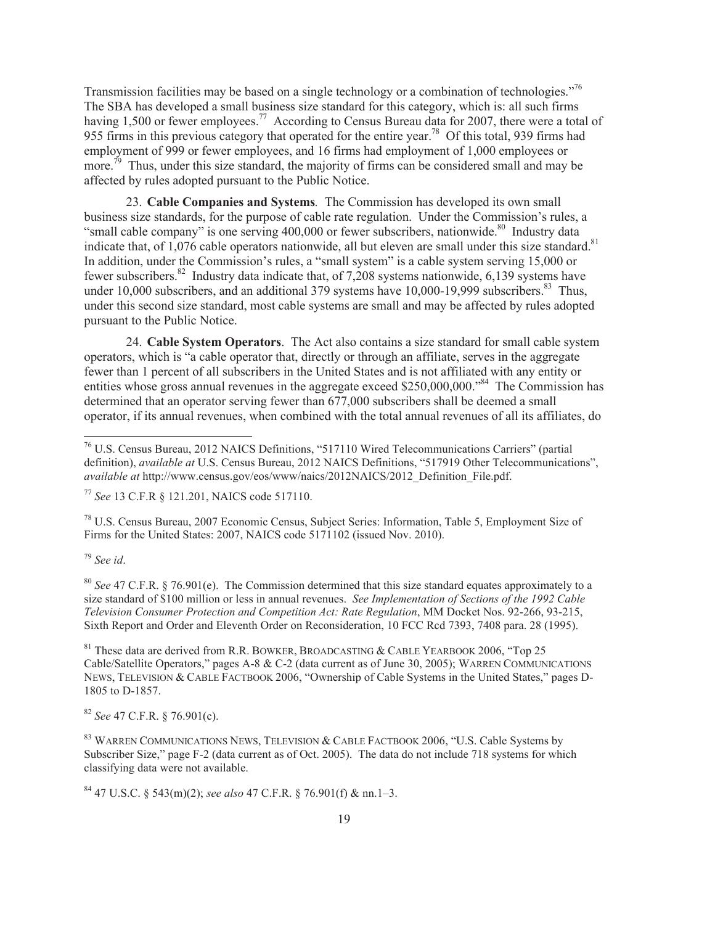Transmission facilities may be based on a single technology or a combination of technologies.<sup>"76</sup> The SBA has developed a small business size standard for this category, which is: all such firms having 1,500 or fewer employees.<sup>77</sup> According to Census Bureau data for 2007, there were a total of 955 firms in this previous category that operated for the entire year.<sup>78</sup> Of this total, 939 firms had employment of 999 or fewer employees, and 16 firms had employment of 1,000 employees or more.<sup>79</sup> Thus, under this size standard, the majority of firms can be considered small and may be affected by rules adopted pursuant to the Public Notice.

23. **Cable Companies and Systems***.* The Commission has developed its own small business size standards, for the purpose of cable rate regulation. Under the Commission's rules, a "small cable company" is one serving  $400,000$  or fewer subscribers, nationwide.<sup>80</sup> Industry data indicate that, of 1,076 cable operators nationwide, all but eleven are small under this size standard.<sup>81</sup> In addition, under the Commission's rules, a "small system" is a cable system serving 15,000 or fewer subscribers.<sup>82</sup> Industry data indicate that, of 7,208 systems nationwide, 6,139 systems have under 10,000 subscribers, and an additional 379 systems have  $10,000$ -19,999 subscribers. $83$  Thus, under this second size standard, most cable systems are small and may be affected by rules adopted pursuant to the Public Notice.

24. **Cable System Operators**. The Act also contains a size standard for small cable system operators, which is "a cable operator that, directly or through an affiliate, serves in the aggregate fewer than 1 percent of all subscribers in the United States and is not affiliated with any entity or entities whose gross annual revenues in the aggregate exceed \$250,000,000.<sup>584</sup> The Commission has determined that an operator serving fewer than 677,000 subscribers shall be deemed a small operator, if its annual revenues, when combined with the total annual revenues of all its affiliates, do

<sup>77</sup> *See* 13 C.F.R § 121.201, NAICS code 517110.

<sup>78</sup> U.S. Census Bureau, 2007 Economic Census, Subject Series: Information, Table 5, Employment Size of Firms for the United States: 2007, NAICS code 5171102 (issued Nov. 2010).

<sup>79</sup> *See id*.

<sup>80</sup> *See* 47 C.F.R. § 76.901(e). The Commission determined that this size standard equates approximately to a size standard of \$100 million or less in annual revenues. *See Implementation of Sections of the 1992 Cable Television Consumer Protection and Competition Act: Rate Regulation*, MM Docket Nos. 92-266, 93-215, Sixth Report and Order and Eleventh Order on Reconsideration, 10 FCC Rcd 7393, 7408 para. 28 (1995).

<sup>81</sup> These data are derived from R.R. BOWKER, BROADCASTING & CABLE YEARBOOK 2006, "Top 25" Cable/Satellite Operators," pages A-8 & C-2 (data current as of June 30, 2005); WARREN COMMUNICATIONS NEWS, TELEVISION & CABLE FACTBOOK 2006, "Ownership of Cable Systems in the United States," pages D-1805 to D-1857.

<sup>82</sup> *See* 47 C.F.R. § 76.901(c).

<sup>83</sup> WARREN COMMUNICATIONS NEWS, TELEVISION & CABLE FACTBOOK 2006, "U.S. Cable Systems by Subscriber Size," page F-2 (data current as of Oct. 2005). The data do not include 718 systems for which classifying data were not available.

<sup>84</sup> 47 U.S.C. § 543(m)(2); *see also* 47 C.F.R. § 76.901(f) & nn.1–3.

<sup>76</sup> U.S. Census Bureau, 2012 NAICS Definitions, "517110 Wired Telecommunications Carriers" (partial definition), *available at* U.S. Census Bureau, 2012 NAICS Definitions, "517919 Other Telecommunications", *available at* http://www.census.gov/eos/www/naics/2012NAICS/2012\_Definition\_File.pdf.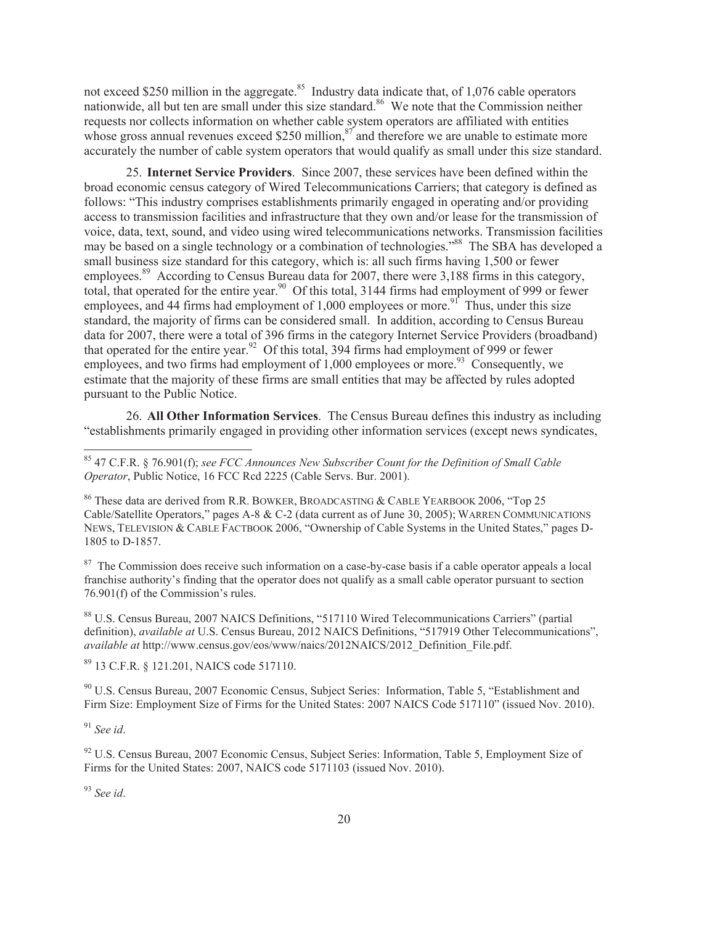not exceed \$250 million in the aggregate.<sup>85</sup> Industry data indicate that, of 1,076 cable operators nationwide, all but ten are small under this size standard.<sup>86</sup> We note that the Commission neither requests nor collects information on whether cable system operators are affiliated with entities whose gross annual revenues exceed \$250 million, $\frac{87}{3}$  and therefore we are unable to estimate more accurately the number of cable system operators that would qualify as small under this size standard.

25. **Internet Service Providers**. Since 2007, these services have been defined within the broad economic census category of Wired Telecommunications Carriers; that category is defined as follows: "This industry comprises establishments primarily engaged in operating and/or providing access to transmission facilities and infrastructure that they own and/or lease for the transmission of voice, data, text, sound, and video using wired telecommunications networks. Transmission facilities may be based on a single technology or a combination of technologies."<sup>88</sup> The SBA has developed a small business size standard for this category, which is: all such firms having 1,500 or fewer employees.<sup>89</sup> According to Census Bureau data for 2007, there were 3,188 firms in this category, total, that operated for the entire year.<sup>90</sup> Of this total, 3144 firms had employment of 999 or fewer employees, and 44 firms had employment of 1,000 employees or more.<sup>91</sup> Thus, under this size standard, the majority of firms can be considered small. In addition, according to Census Bureau data for 2007, there were a total of 396 firms in the category Internet Service Providers (broadband) that operated for the entire year.<sup>92</sup> Of this total, 394 firms had employment of 999 or fewer employees, and two firms had employment of  $1,000$  employees or more.<sup>93</sup> Consequently, we estimate that the majority of these firms are small entities that may be affected by rules adopted pursuant to the Public Notice.

26. **All Other Information Services**. The Census Bureau defines this industry as including "establishments primarily engaged in providing other information services (except news syndicates,

<sup>87</sup> The Commission does receive such information on a case-by-case basis if a cable operator appeals a local franchise authority's finding that the operator does not qualify as a small cable operator pursuant to section 76.901(f) of the Commission's rules.

<sup>88</sup> U.S. Census Bureau, 2007 NAICS Definitions, "517110 Wired Telecommunications Carriers" (partial definition), *available at* U.S. Census Bureau, 2012 NAICS Definitions, "517919 Other Telecommunications", *available at* http://www.census.gov/eos/www/naics/2012NAICS/2012\_Definition\_File.pdf.

<sup>89</sup> 13 C.F.R. § 121.201, NAICS code 517110.

<sup>90</sup> U.S. Census Bureau, 2007 Economic Census, Subject Series: Information, Table 5, "Establishment and Firm Size: Employment Size of Firms for the United States: 2007 NAICS Code 517110" (issued Nov. 2010).

<sup>91</sup> *See id*.

<sup>93</sup> *See id*.

<sup>85</sup> 47 C.F.R. § 76.901(f); *see FCC Announces New Subscriber Count for the Definition of Small Cable Operator*, Public Notice, 16 FCC Rcd 2225 (Cable Servs. Bur. 2001).

<sup>86</sup> These data are derived from R.R. BOWKER, BROADCASTING & CABLE YEARBOOK 2006, "Top 25 Cable/Satellite Operators," pages A-8 & C-2 (data current as of June 30, 2005); WARREN COMMUNICATIONS NEWS, TELEVISION & CABLE FACTBOOK 2006, "Ownership of Cable Systems in the United States," pages D-1805 to D-1857.

 $92$  U.S. Census Bureau, 2007 Economic Census, Subject Series: Information, Table 5, Employment Size of Firms for the United States: 2007, NAICS code 5171103 (issued Nov. 2010).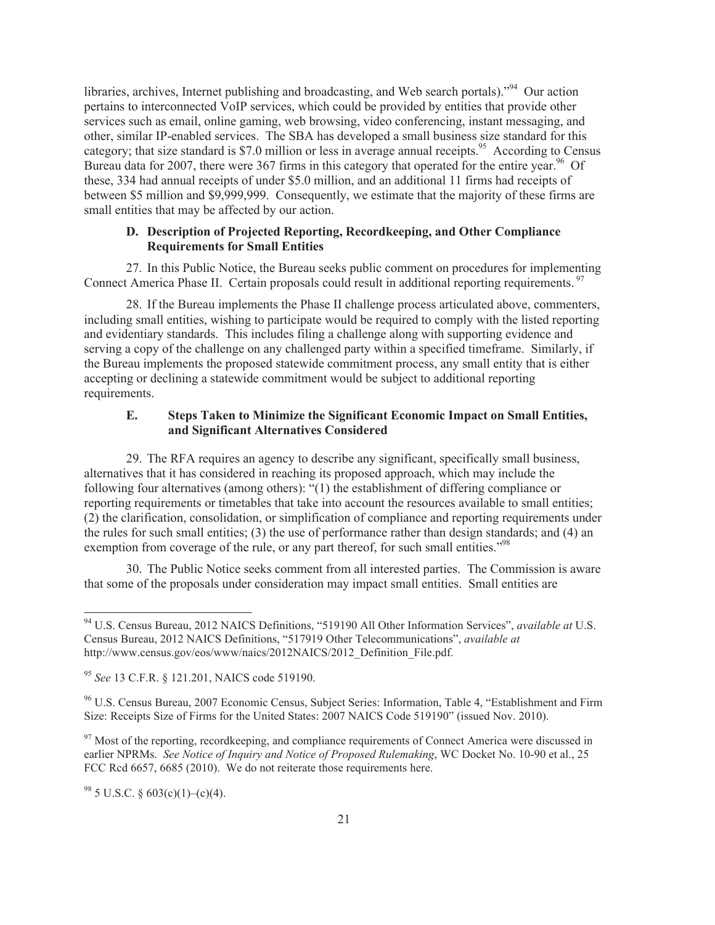libraries, archives, Internet publishing and broadcasting, and Web search portals)."<sup>94</sup> Our action pertains to interconnected VoIP services, which could be provided by entities that provide other services such as email, online gaming, web browsing, video conferencing, instant messaging, and other, similar IP-enabled services. The SBA has developed a small business size standard for this category; that size standard is \$7.0 million or less in average annual receipts.<sup>95</sup> According to Census Bureau data for 2007, there were 367 firms in this category that operated for the entire year.<sup>96</sup> Of these, 334 had annual receipts of under \$5.0 million, and an additional 11 firms had receipts of between \$5 million and \$9,999,999. Consequently, we estimate that the majority of these firms are small entities that may be affected by our action.

### **D. Description of Projected Reporting, Recordkeeping, and Other Compliance Requirements for Small Entities**

27. In this Public Notice, the Bureau seeks public comment on procedures for implementing Connect America Phase II. Certain proposals could result in additional reporting requirements.<sup>9</sup>

28. If the Bureau implements the Phase II challenge process articulated above, commenters, including small entities, wishing to participate would be required to comply with the listed reporting and evidentiary standards. This includes filing a challenge along with supporting evidence and serving a copy of the challenge on any challenged party within a specified timeframe. Similarly, if the Bureau implements the proposed statewide commitment process, any small entity that is either accepting or declining a statewide commitment would be subject to additional reporting requirements.

## **E. Steps Taken to Minimize the Significant Economic Impact on Small Entities, and Significant Alternatives Considered**

29. The RFA requires an agency to describe any significant, specifically small business, alternatives that it has considered in reaching its proposed approach, which may include the following four alternatives (among others): "(1) the establishment of differing compliance or reporting requirements or timetables that take into account the resources available to small entities; (2) the clarification, consolidation, or simplification of compliance and reporting requirements under the rules for such small entities; (3) the use of performance rather than design standards; and (4) an exemption from coverage of the rule, or any part thereof, for such small entities."<sup>98</sup>

30. The Public Notice seeks comment from all interested parties. The Commission is aware that some of the proposals under consideration may impact small entities. Small entities are

 $^{98}$  5 U.S.C. § 603(c)(1)–(c)(4).

<sup>94</sup> U.S. Census Bureau, 2012 NAICS Definitions, "519190 All Other Information Services", *available at* U.S. Census Bureau, 2012 NAICS Definitions, "517919 Other Telecommunications", *available at*  http://www.census.gov/eos/www/naics/2012NAICS/2012\_Definition\_File.pdf.

<sup>95</sup> *See* 13 C.F.R. § 121.201, NAICS code 519190.

<sup>96</sup> U.S. Census Bureau, 2007 Economic Census, Subject Series: Information, Table 4, "Establishment and Firm Size: Receipts Size of Firms for the United States: 2007 NAICS Code 519190" (issued Nov. 2010).

 $97$  Most of the reporting, recordkeeping, and compliance requirements of Connect America were discussed in earlier NPRMs. *See Notice of Inquiry and Notice of Proposed Rulemaking*, WC Docket No. 10-90 et al., 25 FCC Rcd 6657, 6685 (2010). We do not reiterate those requirements here.